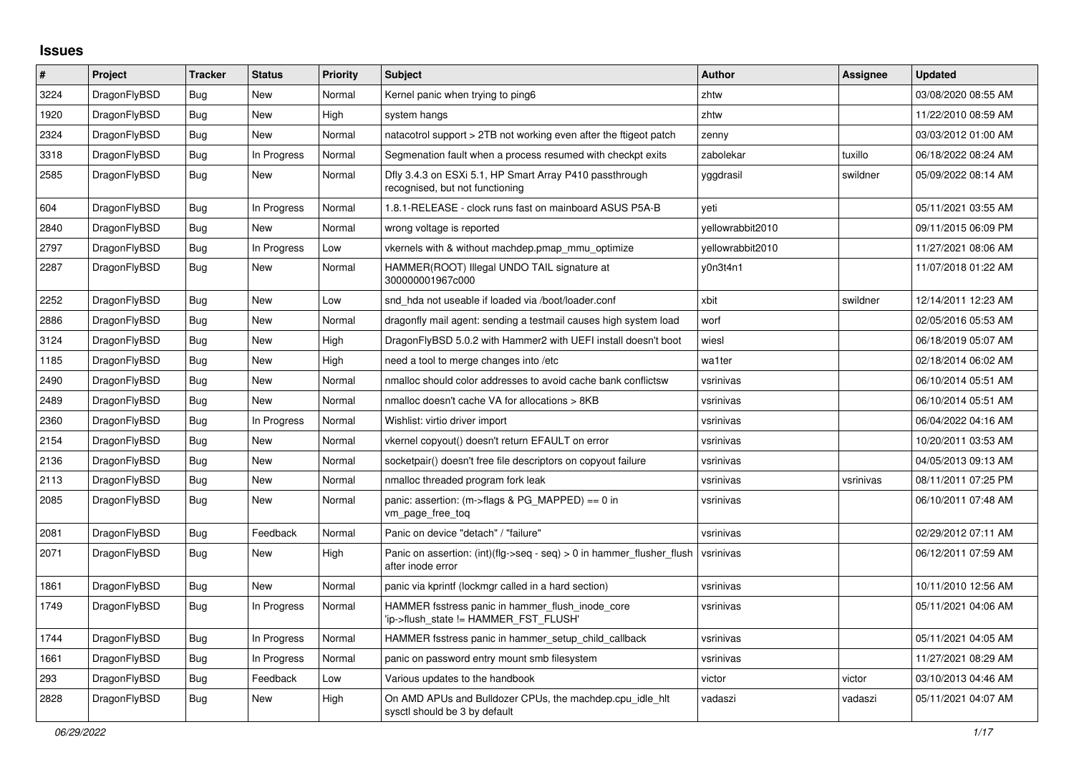## **Issues**

| $\#$ | Project      | <b>Tracker</b> | <b>Status</b> | <b>Priority</b> | <b>Subject</b>                                                                             | <b>Author</b>    | Assignee  | <b>Updated</b>      |
|------|--------------|----------------|---------------|-----------------|--------------------------------------------------------------------------------------------|------------------|-----------|---------------------|
| 3224 | DragonFlyBSD | Bug            | <b>New</b>    | Normal          | Kernel panic when trying to ping6                                                          | zhtw             |           | 03/08/2020 08:55 AM |
| 1920 | DragonFlyBSD | <b>Bug</b>     | <b>New</b>    | High            | system hangs                                                                               | zhtw             |           | 11/22/2010 08:59 AM |
| 2324 | DragonFlyBSD | <b>Bug</b>     | <b>New</b>    | Normal          | natacotrol support > 2TB not working even after the ftigeot patch                          | zenny            |           | 03/03/2012 01:00 AM |
| 3318 | DragonFlyBSD | <b>Bug</b>     | In Progress   | Normal          | Segmenation fault when a process resumed with checkpt exits                                | zabolekar        | tuxillo   | 06/18/2022 08:24 AM |
| 2585 | DragonFlyBSD | <b>Bug</b>     | New           | Normal          | Dfly 3.4.3 on ESXi 5.1, HP Smart Array P410 passthrough<br>recognised, but not functioning | yggdrasil        | swildner  | 05/09/2022 08:14 AM |
| 604  | DragonFlyBSD | Bug            | In Progress   | Normal          | 1.8.1-RELEASE - clock runs fast on mainboard ASUS P5A-B                                    | veti             |           | 05/11/2021 03:55 AM |
| 2840 | DragonFlyBSD | <b>Bug</b>     | <b>New</b>    | Normal          | wrong voltage is reported                                                                  | vellowrabbit2010 |           | 09/11/2015 06:09 PM |
| 2797 | DragonFlyBSD | Bug            | In Progress   | Low             | vkernels with & without machdep.pmap mmu optimize                                          | yellowrabbit2010 |           | 11/27/2021 08:06 AM |
| 2287 | DragonFlyBSD | Bug            | New           | Normal          | HAMMER(ROOT) Illegal UNDO TAIL signature at<br>300000001967c000                            | y0n3t4n1         |           | 11/07/2018 01:22 AM |
| 2252 | DragonFlyBSD | Bug            | New           | Low             | snd hda not useable if loaded via /boot/loader.conf                                        | xbit             | swildner  | 12/14/2011 12:23 AM |
| 2886 | DragonFlyBSD | Bug            | New           | Normal          | dragonfly mail agent: sending a testmail causes high system load                           | worf             |           | 02/05/2016 05:53 AM |
| 3124 | DragonFlyBSD | <b>Bug</b>     | New           | High            | DragonFlyBSD 5.0.2 with Hammer2 with UEFI install doesn't boot                             | wiesl            |           | 06/18/2019 05:07 AM |
| 1185 | DragonFlyBSD | Bug            | <b>New</b>    | High            | need a tool to merge changes into /etc                                                     | wa1ter           |           | 02/18/2014 06:02 AM |
| 2490 | DragonFlyBSD | Bug            | New           | Normal          | nmalloc should color addresses to avoid cache bank conflictsw                              | vsrinivas        |           | 06/10/2014 05:51 AM |
| 2489 | DragonFlyBSD | Bug            | New           | Normal          | nmalloc doesn't cache VA for allocations > 8KB                                             | vsrinivas        |           | 06/10/2014 05:51 AM |
| 2360 | DragonFlyBSD | Bug            | In Progress   | Normal          | Wishlist: virtio driver import                                                             | vsrinivas        |           | 06/04/2022 04:16 AM |
| 2154 | DragonFlyBSD | Bug            | New           | Normal          | vkernel copyout() doesn't return EFAULT on error                                           | vsrinivas        |           | 10/20/2011 03:53 AM |
| 2136 | DragonFlyBSD | Bug            | <b>New</b>    | Normal          | socketpair() doesn't free file descriptors on copyout failure                              | vsrinivas        |           | 04/05/2013 09:13 AM |
| 2113 | DragonFlyBSD | <b>Bug</b>     | <b>New</b>    | Normal          | nmalloc threaded program fork leak                                                         | vsrinivas        | vsrinivas | 08/11/2011 07:25 PM |
| 2085 | DragonFlyBSD | <b>Bug</b>     | New           | Normal          | panic: assertion: (m->flags & PG_MAPPED) == 0 in<br>vm_page_free_toq                       | vsrinivas        |           | 06/10/2011 07:48 AM |
| 2081 | DragonFlyBSD | <b>Bug</b>     | Feedback      | Normal          | Panic on device "detach" / "failure"                                                       | vsrinivas        |           | 02/29/2012 07:11 AM |
| 2071 | DragonFlyBSD | Bug            | New           | High            | Panic on assertion: (int)(flg->seq - seq) > 0 in hammer flusher flush<br>after inode error | vsrinivas        |           | 06/12/2011 07:59 AM |
| 1861 | DragonFlyBSD | Bug            | New           | Normal          | panic via kprintf (lockmgr called in a hard section)                                       | vsrinivas        |           | 10/11/2010 12:56 AM |
| 1749 | DragonFlyBSD | Bug            | In Progress   | Normal          | HAMMER fsstress panic in hammer flush inode core<br>'ip->flush state != HAMMER FST FLUSH'  | vsrinivas        |           | 05/11/2021 04:06 AM |
| 1744 | DragonFlyBSD | <b>Bug</b>     | In Progress   | Normal          | HAMMER fsstress panic in hammer_setup_child_callback                                       | vsrinivas        |           | 05/11/2021 04:05 AM |
| 1661 | DragonFlyBSD | <b>Bug</b>     | In Progress   | Normal          | panic on password entry mount smb filesystem                                               | vsrinivas        |           | 11/27/2021 08:29 AM |
| 293  | DragonFlyBSD | Bug            | Feedback      | Low             | Various updates to the handbook                                                            | victor           | victor    | 03/10/2013 04:46 AM |
| 2828 | DragonFlyBSD | Bug            | <b>New</b>    | High            | On AMD APUs and Bulldozer CPUs, the machdep.cpu_idle_hlt<br>sysctl should be 3 by default  | vadaszi          | vadaszi   | 05/11/2021 04:07 AM |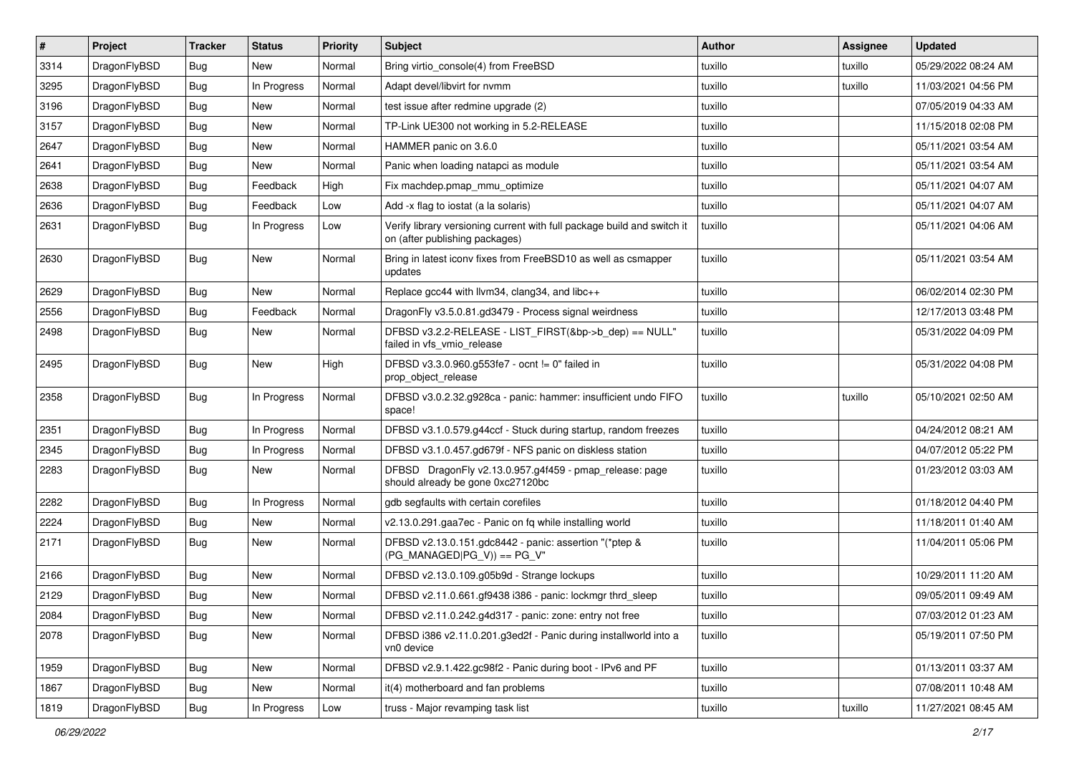| $\vert$ # | Project      | <b>Tracker</b> | <b>Status</b> | <b>Priority</b> | Subject                                                                                                   | <b>Author</b> | Assignee | <b>Updated</b>      |
|-----------|--------------|----------------|---------------|-----------------|-----------------------------------------------------------------------------------------------------------|---------------|----------|---------------------|
| 3314      | DragonFlyBSD | Bug            | New           | Normal          | Bring virtio_console(4) from FreeBSD                                                                      | tuxillo       | tuxillo  | 05/29/2022 08:24 AM |
| 3295      | DragonFlyBSD | <b>Bug</b>     | In Progress   | Normal          | Adapt devel/libvirt for nvmm                                                                              | tuxillo       | tuxillo  | 11/03/2021 04:56 PM |
| 3196      | DragonFlyBSD | <b>Bug</b>     | New           | Normal          | test issue after redmine upgrade (2)                                                                      | tuxillo       |          | 07/05/2019 04:33 AM |
| 3157      | DragonFlyBSD | <b>Bug</b>     | <b>New</b>    | Normal          | TP-Link UE300 not working in 5.2-RELEASE                                                                  | tuxillo       |          | 11/15/2018 02:08 PM |
| 2647      | DragonFlyBSD | <b>Bug</b>     | <b>New</b>    | Normal          | HAMMER panic on 3.6.0                                                                                     | tuxillo       |          | 05/11/2021 03:54 AM |
| 2641      | DragonFlyBSD | <b>Bug</b>     | New           | Normal          | Panic when loading natapci as module                                                                      | tuxillo       |          | 05/11/2021 03:54 AM |
| 2638      | DragonFlyBSD | <b>Bug</b>     | Feedback      | High            | Fix machdep.pmap_mmu_optimize                                                                             | tuxillo       |          | 05/11/2021 04:07 AM |
| 2636      | DragonFlyBSD | <b>Bug</b>     | Feedback      | Low             | Add -x flag to iostat (a la solaris)                                                                      | tuxillo       |          | 05/11/2021 04:07 AM |
| 2631      | DragonFlyBSD | <b>Bug</b>     | In Progress   | Low             | Verify library versioning current with full package build and switch it<br>on (after publishing packages) | tuxillo       |          | 05/11/2021 04:06 AM |
| 2630      | DragonFlyBSD | <b>Bug</b>     | New           | Normal          | Bring in latest iconv fixes from FreeBSD10 as well as csmapper<br>updates                                 | tuxillo       |          | 05/11/2021 03:54 AM |
| 2629      | DragonFlyBSD | Bug            | New           | Normal          | Replace gcc44 with llvm34, clang34, and libc++                                                            | tuxillo       |          | 06/02/2014 02:30 PM |
| 2556      | DragonFlyBSD | <b>Bug</b>     | Feedback      | Normal          | DragonFly v3.5.0.81.gd3479 - Process signal weirdness                                                     | tuxillo       |          | 12/17/2013 03:48 PM |
| 2498      | DragonFlyBSD | <b>Bug</b>     | New           | Normal          | DFBSD v3.2.2-RELEASE - LIST_FIRST(&bp->b_dep) == NULL"<br>failed in vfs_vmio_release                      | tuxillo       |          | 05/31/2022 04:09 PM |
| 2495      | DragonFlyBSD | <b>Bug</b>     | New           | High            | DFBSD v3.3.0.960.g553fe7 - ocnt != 0" failed in<br>prop_object_release                                    | tuxillo       |          | 05/31/2022 04:08 PM |
| 2358      | DragonFlyBSD | <b>Bug</b>     | In Progress   | Normal          | DFBSD v3.0.2.32.g928ca - panic: hammer: insufficient undo FIFO<br>space!                                  | tuxillo       | tuxillo  | 05/10/2021 02:50 AM |
| 2351      | DragonFlyBSD | <b>Bug</b>     | In Progress   | Normal          | DFBSD v3.1.0.579.g44ccf - Stuck during startup, random freezes                                            | tuxillo       |          | 04/24/2012 08:21 AM |
| 2345      | DragonFlyBSD | <b>Bug</b>     | In Progress   | Normal          | DFBSD v3.1.0.457.gd679f - NFS panic on diskless station                                                   | tuxillo       |          | 04/07/2012 05:22 PM |
| 2283      | DragonFlyBSD | Bug            | New           | Normal          | DFBSD DragonFly v2.13.0.957.g4f459 - pmap_release: page<br>should already be gone 0xc27120bc              | tuxillo       |          | 01/23/2012 03:03 AM |
| 2282      | DragonFlyBSD | <b>Bug</b>     | In Progress   | Normal          | gdb segfaults with certain corefiles                                                                      | tuxillo       |          | 01/18/2012 04:40 PM |
| 2224      | DragonFlyBSD | Bug            | <b>New</b>    | Normal          | v2.13.0.291.gaa7ec - Panic on fq while installing world                                                   | tuxillo       |          | 11/18/2011 01:40 AM |
| 2171      | DragonFlyBSD | Bug            | <b>New</b>    | Normal          | DFBSD v2.13.0.151.gdc8442 - panic: assertion "(*ptep &<br>$(PG$ MANAGED $ PG$ V)) == PG V"                | tuxillo       |          | 11/04/2011 05:06 PM |
| 2166      | DragonFlyBSD | Bug            | New           | Normal          | DFBSD v2.13.0.109.g05b9d - Strange lockups                                                                | tuxillo       |          | 10/29/2011 11:20 AM |
| 2129      | DragonFlyBSD | <b>Bug</b>     | New           | Normal          | DFBSD v2.11.0.661.gf9438 i386 - panic: lockmgr thrd_sleep                                                 | tuxillo       |          | 09/05/2011 09:49 AM |
| 2084      | DragonFlyBSD | Bug            | New           | Normal          | DFBSD v2.11.0.242.g4d317 - panic: zone: entry not free                                                    | tuxillo       |          | 07/03/2012 01:23 AM |
| 2078      | DragonFlyBSD | <b>Bug</b>     | New           | Normal          | DFBSD i386 v2.11.0.201.g3ed2f - Panic during installworld into a<br>vn0 device                            | tuxillo       |          | 05/19/2011 07:50 PM |
| 1959      | DragonFlyBSD | Bug            | New           | Normal          | DFBSD v2.9.1.422.gc98f2 - Panic during boot - IPv6 and PF                                                 | tuxillo       |          | 01/13/2011 03:37 AM |
| 1867      | DragonFlyBSD | <b>Bug</b>     | New           | Normal          | it(4) motherboard and fan problems                                                                        | tuxillo       |          | 07/08/2011 10:48 AM |
| 1819      | DragonFlyBSD | <b>Bug</b>     | In Progress   | Low             | truss - Major revamping task list                                                                         | tuxillo       | tuxillo  | 11/27/2021 08:45 AM |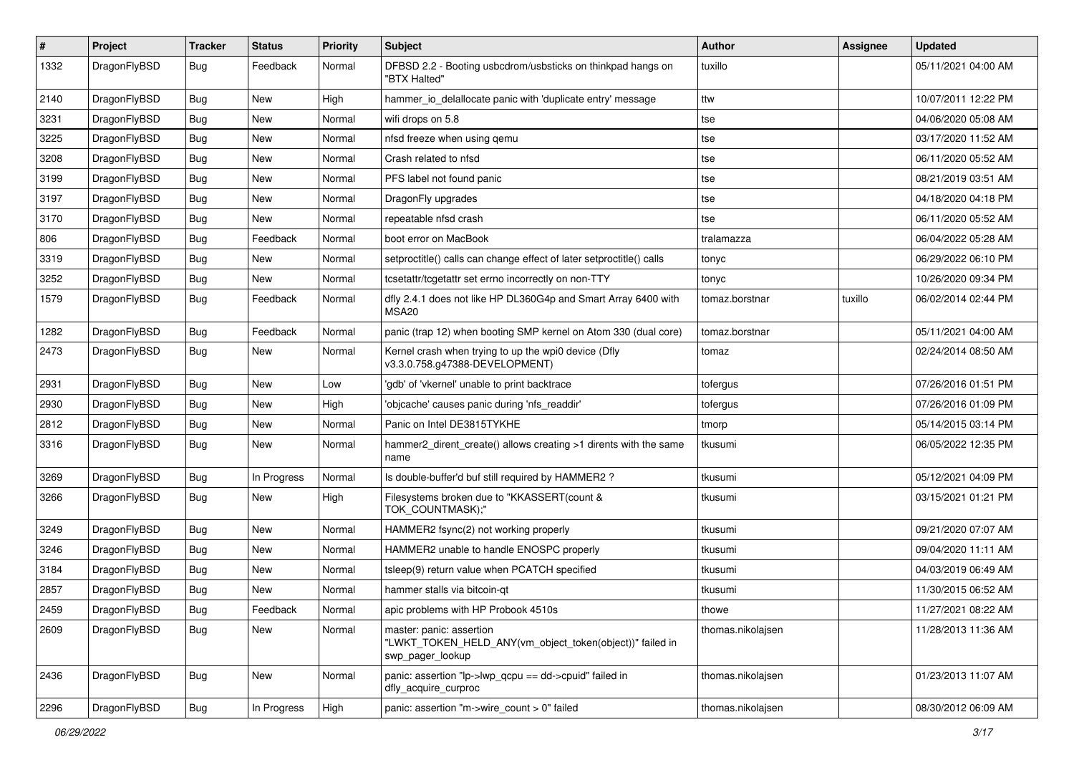| $\sharp$ | Project      | <b>Tracker</b> | <b>Status</b> | <b>Priority</b> | Subject                                                                                                  | Author            | Assignee | <b>Updated</b>      |
|----------|--------------|----------------|---------------|-----------------|----------------------------------------------------------------------------------------------------------|-------------------|----------|---------------------|
| 1332     | DragonFlyBSD | Bug            | Feedback      | Normal          | DFBSD 2.2 - Booting usbcdrom/usbsticks on thinkpad hangs on<br>"BTX Halted"                              | tuxillo           |          | 05/11/2021 04:00 AM |
| 2140     | DragonFlyBSD | Bug            | <b>New</b>    | High            | hammer io delallocate panic with 'duplicate entry' message                                               | ttw               |          | 10/07/2011 12:22 PM |
| 3231     | DragonFlyBSD | <b>Bug</b>     | New           | Normal          | wifi drops on 5.8                                                                                        | tse               |          | 04/06/2020 05:08 AM |
| 3225     | DragonFlyBSD | Bug            | <b>New</b>    | Normal          | nfsd freeze when using qemu                                                                              | tse               |          | 03/17/2020 11:52 AM |
| 3208     | DragonFlyBSD | <b>Bug</b>     | <b>New</b>    | Normal          | Crash related to nfsd                                                                                    | tse               |          | 06/11/2020 05:52 AM |
| 3199     | DragonFlyBSD | <b>Bug</b>     | <b>New</b>    | Normal          | PFS label not found panic                                                                                | tse               |          | 08/21/2019 03:51 AM |
| 3197     | DragonFlyBSD | <b>Bug</b>     | New           | Normal          | DragonFly upgrades                                                                                       | tse               |          | 04/18/2020 04:18 PM |
| 3170     | DragonFlyBSD | <b>Bug</b>     | New           | Normal          | repeatable nfsd crash                                                                                    | tse               |          | 06/11/2020 05:52 AM |
| 806      | DragonFlyBSD | Bug            | Feedback      | Normal          | boot error on MacBook                                                                                    | tralamazza        |          | 06/04/2022 05:28 AM |
| 3319     | DragonFlyBSD | <b>Bug</b>     | New           | Normal          | setproctitle() calls can change effect of later setproctitle() calls                                     | tonyc             |          | 06/29/2022 06:10 PM |
| 3252     | DragonFlyBSD | <b>Bug</b>     | New           | Normal          | tcsetattr/tcgetattr set errno incorrectly on non-TTY                                                     | tonyc             |          | 10/26/2020 09:34 PM |
| 1579     | DragonFlyBSD | Bug            | Feedback      | Normal          | dfly 2.4.1 does not like HP DL360G4p and Smart Array 6400 with<br>MSA20                                  | tomaz.borstnar    | tuxillo  | 06/02/2014 02:44 PM |
| 1282     | DragonFlyBSD | Bug            | Feedback      | Normal          | panic (trap 12) when booting SMP kernel on Atom 330 (dual core)                                          | tomaz.borstnar    |          | 05/11/2021 04:00 AM |
| 2473     | DragonFlyBSD | Bug            | <b>New</b>    | Normal          | Kernel crash when trying to up the wpi0 device (Dfly<br>v3.3.0.758.g47388-DEVELOPMENT)                   | tomaz             |          | 02/24/2014 08:50 AM |
| 2931     | DragonFlyBSD | Bug            | <b>New</b>    | Low             | 'gdb' of 'vkernel' unable to print backtrace                                                             | tofergus          |          | 07/26/2016 01:51 PM |
| 2930     | DragonFlyBSD | <b>Bug</b>     | New           | High            | 'objcache' causes panic during 'nfs_readdir'                                                             | tofergus          |          | 07/26/2016 01:09 PM |
| 2812     | DragonFlyBSD | <b>Bug</b>     | <b>New</b>    | Normal          | Panic on Intel DE3815TYKHE                                                                               | tmorp             |          | 05/14/2015 03:14 PM |
| 3316     | DragonFlyBSD | Bug            | New           | Normal          | hammer2_dirent_create() allows creating >1 dirents with the same<br>name                                 | tkusumi           |          | 06/05/2022 12:35 PM |
| 3269     | DragonFlyBSD | Bug            | In Progress   | Normal          | Is double-buffer'd buf still required by HAMMER2 ?                                                       | tkusumi           |          | 05/12/2021 04:09 PM |
| 3266     | DragonFlyBSD | Bug            | New           | High            | Filesystems broken due to "KKASSERT(count &<br>TOK_COUNTMASK);"                                          | tkusumi           |          | 03/15/2021 01:21 PM |
| 3249     | DragonFlyBSD | Bug            | <b>New</b>    | Normal          | HAMMER2 fsync(2) not working properly                                                                    | tkusumi           |          | 09/21/2020 07:07 AM |
| 3246     | DragonFlyBSD | Bug            | New           | Normal          | HAMMER2 unable to handle ENOSPC properly                                                                 | tkusumi           |          | 09/04/2020 11:11 AM |
| 3184     | DragonFlyBSD | <b>Bug</b>     | <b>New</b>    | Normal          | tsleep(9) return value when PCATCH specified                                                             | tkusumi           |          | 04/03/2019 06:49 AM |
| 2857     | DragonFlyBSD | <b>Bug</b>     | <b>New</b>    | Normal          | hammer stalls via bitcoin-qt                                                                             | tkusumi           |          | 11/30/2015 06:52 AM |
| 2459     | DragonFlyBSD | <b>Bug</b>     | Feedback      | Normal          | apic problems with HP Probook 4510s                                                                      | thowe             |          | 11/27/2021 08:22 AM |
| 2609     | DragonFlyBSD | Bug            | New           | Normal          | master: panic: assertion<br>"LWKT_TOKEN_HELD_ANY(vm_object_token(object))" failed in<br>swp_pager_lookup | thomas.nikolaisen |          | 11/28/2013 11:36 AM |
| 2436     | DragonFlyBSD | <b>Bug</b>     | New           | Normal          | panic: assertion "lp->lwp_qcpu == dd->cpuid" failed in<br>dfly_acquire_curproc                           | thomas.nikolajsen |          | 01/23/2013 11:07 AM |
| 2296     | DragonFlyBSD | Bug            | In Progress   | High            | panic: assertion "m->wire_count > 0" failed                                                              | thomas.nikolajsen |          | 08/30/2012 06:09 AM |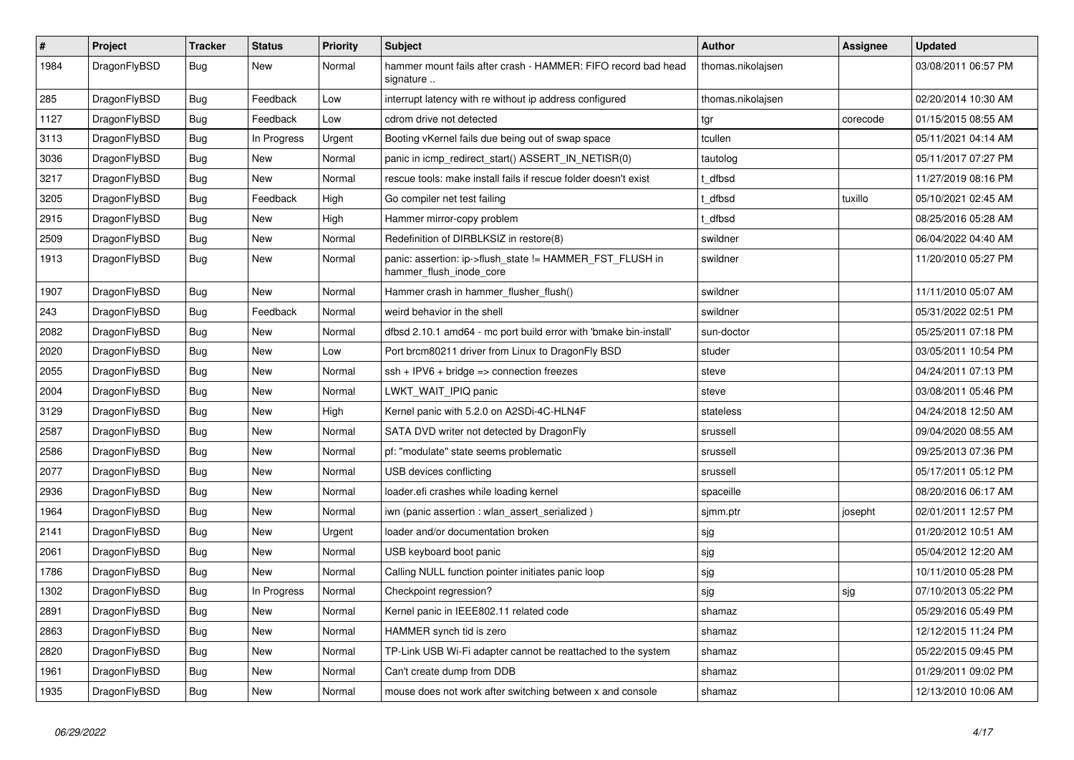| $\pmb{\#}$ | <b>Project</b> | <b>Tracker</b> | <b>Status</b> | <b>Priority</b> | <b>Subject</b>                                                                      | Author            | Assignee | <b>Updated</b>      |
|------------|----------------|----------------|---------------|-----------------|-------------------------------------------------------------------------------------|-------------------|----------|---------------------|
| 1984       | DragonFlyBSD   | Bug            | New           | Normal          | hammer mount fails after crash - HAMMER: FIFO record bad head<br>signature          | thomas.nikolajsen |          | 03/08/2011 06:57 PM |
| 285        | DragonFlyBSD   | <b>Bug</b>     | Feedback      | Low             | interrupt latency with re without ip address configured                             | thomas.nikolajsen |          | 02/20/2014 10:30 AM |
| 1127       | DragonFlyBSD   | <b>Bug</b>     | Feedback      | Low             | cdrom drive not detected                                                            | tgr               | corecode | 01/15/2015 08:55 AM |
| 3113       | DragonFlyBSD   | <b>Bug</b>     | In Progress   | Urgent          | Booting vKernel fails due being out of swap space                                   | tcullen           |          | 05/11/2021 04:14 AM |
| 3036       | DragonFlyBSD   | <b>Bug</b>     | <b>New</b>    | Normal          | panic in icmp_redirect_start() ASSERT_IN_NETISR(0)                                  | tautolog          |          | 05/11/2017 07:27 PM |
| 3217       | DragonFlyBSD   | Bug            | New           | Normal          | rescue tools: make install fails if rescue folder doesn't exist                     | t dfbsd           |          | 11/27/2019 08:16 PM |
| 3205       | DragonFlyBSD   | Bug            | Feedback      | High            | Go compiler net test failing                                                        | t dfbsd           | tuxillo  | 05/10/2021 02:45 AM |
| 2915       | DragonFlyBSD   | Bug            | New           | High            | Hammer mirror-copy problem                                                          | t dfbsd           |          | 08/25/2016 05:28 AM |
| 2509       | DragonFlyBSD   | <b>Bug</b>     | <b>New</b>    | Normal          | Redefinition of DIRBLKSIZ in restore(8)                                             | swildner          |          | 06/04/2022 04:40 AM |
| 1913       | DragonFlyBSD   | <b>Bug</b>     | <b>New</b>    | Normal          | panic: assertion: ip->flush state != HAMMER FST FLUSH in<br>hammer flush inode core | swildner          |          | 11/20/2010 05:27 PM |
| 1907       | DragonFlyBSD   | <b>Bug</b>     | <b>New</b>    | Normal          | Hammer crash in hammer_flusher_flush()                                              | swildner          |          | 11/11/2010 05:07 AM |
| 243        | DragonFlyBSD   | Bug            | Feedback      | Normal          | weird behavior in the shell                                                         | swildner          |          | 05/31/2022 02:51 PM |
| 2082       | DragonFlyBSD   | Bug            | <b>New</b>    | Normal          | dfbsd 2.10.1 amd64 - mc port build error with 'bmake bin-install'                   | sun-doctor        |          | 05/25/2011 07:18 PM |
| 2020       | DragonFlyBSD   | Bug            | <b>New</b>    | Low             | Port brcm80211 driver from Linux to DragonFly BSD                                   | studer            |          | 03/05/2011 10:54 PM |
| 2055       | DragonFlyBSD   | <b>Bug</b>     | <b>New</b>    | Normal          | $ssh + IPV6 + bridge \Rightarrow connection freezes$                                | steve             |          | 04/24/2011 07:13 PM |
| 2004       | DragonFlyBSD   | Bug            | <b>New</b>    | Normal          | LWKT WAIT IPIQ panic                                                                | steve             |          | 03/08/2011 05:46 PM |
| 3129       | DragonFlyBSD   | <b>Bug</b>     | <b>New</b>    | High            | Kernel panic with 5.2.0 on A2SDi-4C-HLN4F                                           | stateless         |          | 04/24/2018 12:50 AM |
| 2587       | DragonFlyBSD   | Bug            | <b>New</b>    | Normal          | SATA DVD writer not detected by DragonFly                                           | srussell          |          | 09/04/2020 08:55 AM |
| 2586       | DragonFlyBSD   | Bug            | <b>New</b>    | Normal          | pf: "modulate" state seems problematic                                              | srussell          |          | 09/25/2013 07:36 PM |
| 2077       | DragonFlyBSD   | Bug            | New           | Normal          | USB devices conflicting                                                             | srussell          |          | 05/17/2011 05:12 PM |
| 2936       | DragonFlyBSD   | Bug            | <b>New</b>    | Normal          | loader.efi crashes while loading kernel                                             | spaceille         |          | 08/20/2016 06:17 AM |
| 1964       | DragonFlyBSD   | <b>Bug</b>     | <b>New</b>    | Normal          | iwn (panic assertion : wlan assert serialized)                                      | sjmm.ptr          | josepht  | 02/01/2011 12:57 PM |
| 2141       | DragonFlyBSD   | <b>Bug</b>     | <b>New</b>    | Urgent          | loader and/or documentation broken                                                  | sjg               |          | 01/20/2012 10:51 AM |
| 2061       | DragonFlyBSD   | Bug            | <b>New</b>    | Normal          | USB keyboard boot panic                                                             | sjg               |          | 05/04/2012 12:20 AM |
| 1786       | DragonFlyBSD   | Bug            | New           | Normal          | Calling NULL function pointer initiates panic loop                                  | sjg               |          | 10/11/2010 05:28 PM |
| 1302       | DragonFlyBSD   | <b>Bug</b>     | In Progress   | Normal          | Checkpoint regression?                                                              | sjg               | sjg      | 07/10/2013 05:22 PM |
| 2891       | DragonFlyBSD   | Bug            | New           | Normal          | Kernel panic in IEEE802.11 related code                                             | shamaz            |          | 05/29/2016 05:49 PM |
| 2863       | DragonFlyBSD   | Bug            | New           | Normal          | HAMMER synch tid is zero                                                            | shamaz            |          | 12/12/2015 11:24 PM |
| 2820       | DragonFlyBSD   | Bug            | New           | Normal          | TP-Link USB Wi-Fi adapter cannot be reattached to the system                        | shamaz            |          | 05/22/2015 09:45 PM |
| 1961       | DragonFlyBSD   | Bug            | <b>New</b>    | Normal          | Can't create dump from DDB                                                          | shamaz            |          | 01/29/2011 09:02 PM |
| 1935       | DragonFlyBSD   | Bug            | <b>New</b>    | Normal          | mouse does not work after switching between x and console                           | shamaz            |          | 12/13/2010 10:06 AM |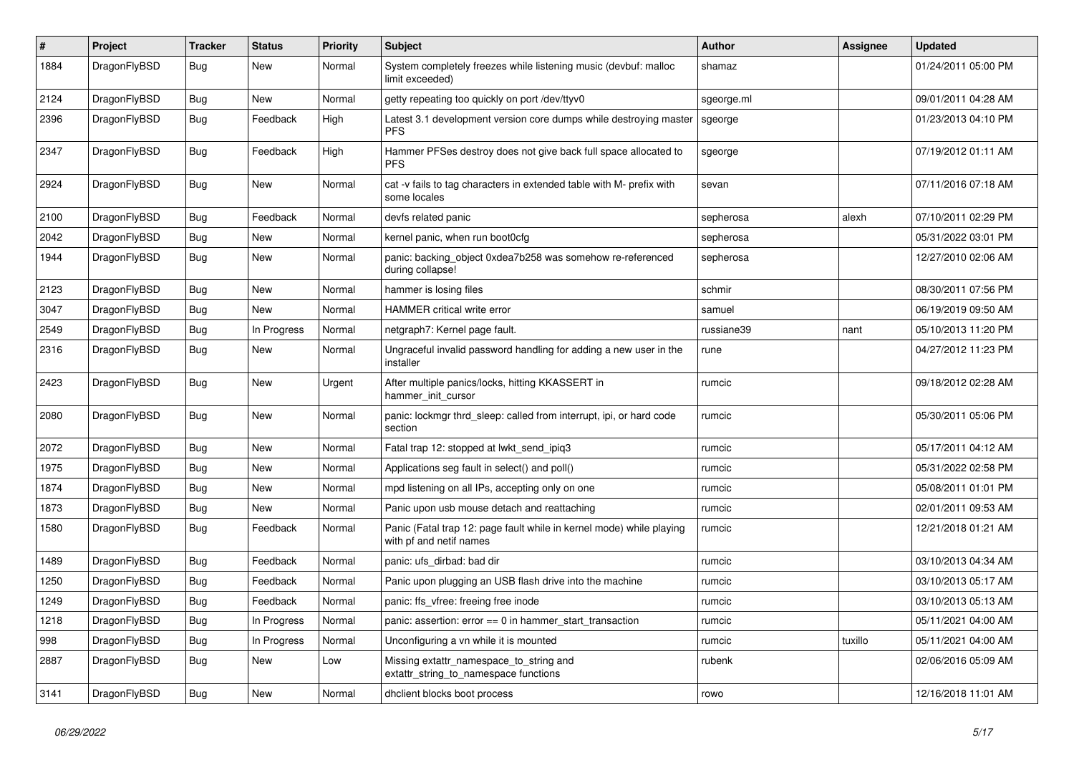| $\vert$ # | Project      | <b>Tracker</b> | <b>Status</b> | <b>Priority</b> | <b>Subject</b>                                                                                  | <b>Author</b> | Assignee | <b>Updated</b>      |
|-----------|--------------|----------------|---------------|-----------------|-------------------------------------------------------------------------------------------------|---------------|----------|---------------------|
| 1884      | DragonFlyBSD | <b>Bug</b>     | <b>New</b>    | Normal          | System completely freezes while listening music (devbuf: malloc<br>limit exceeded)              | shamaz        |          | 01/24/2011 05:00 PM |
| 2124      | DragonFlyBSD | <b>Bug</b>     | <b>New</b>    | Normal          | getty repeating too quickly on port /dev/ttyv0                                                  | sgeorge.ml    |          | 09/01/2011 04:28 AM |
| 2396      | DragonFlyBSD | <b>Bug</b>     | Feedback      | High            | Latest 3.1 development version core dumps while destroying master<br><b>PFS</b>                 | sgeorge       |          | 01/23/2013 04:10 PM |
| 2347      | DragonFlyBSD | Bug            | Feedback      | High            | Hammer PFSes destroy does not give back full space allocated to<br><b>PFS</b>                   | sgeorge       |          | 07/19/2012 01:11 AM |
| 2924      | DragonFlyBSD | <b>Bug</b>     | New           | Normal          | cat -v fails to tag characters in extended table with M- prefix with<br>some locales            | sevan         |          | 07/11/2016 07:18 AM |
| 2100      | DragonFlyBSD | Bug            | Feedback      | Normal          | devfs related panic                                                                             | sepherosa     | alexh    | 07/10/2011 02:29 PM |
| 2042      | DragonFlyBSD | <b>Bug</b>     | <b>New</b>    | Normal          | kernel panic, when run boot0cfg                                                                 | sepherosa     |          | 05/31/2022 03:01 PM |
| 1944      | DragonFlyBSD | <b>Bug</b>     | <b>New</b>    | Normal          | panic: backing object 0xdea7b258 was somehow re-referenced<br>during collapse!                  | sepherosa     |          | 12/27/2010 02:06 AM |
| 2123      | DragonFlyBSD | <b>Bug</b>     | New           | Normal          | hammer is losing files                                                                          | schmir        |          | 08/30/2011 07:56 PM |
| 3047      | DragonFlyBSD | Bug            | New           | Normal          | <b>HAMMER</b> critical write error                                                              | samuel        |          | 06/19/2019 09:50 AM |
| 2549      | DragonFlyBSD | Bug            | In Progress   | Normal          | netgraph7: Kernel page fault.                                                                   | russiane39    | nant     | 05/10/2013 11:20 PM |
| 2316      | DragonFlyBSD | Bug            | New           | Normal          | Ungraceful invalid password handling for adding a new user in the<br>installer                  | rune          |          | 04/27/2012 11:23 PM |
| 2423      | DragonFlyBSD | <b>Bug</b>     | <b>New</b>    | Urgent          | After multiple panics/locks, hitting KKASSERT in<br>hammer init cursor                          | rumcic        |          | 09/18/2012 02:28 AM |
| 2080      | DragonFlyBSD | <b>Bug</b>     | <b>New</b>    | Normal          | panic: lockmgr thrd_sleep: called from interrupt, ipi, or hard code<br>section                  | rumcic        |          | 05/30/2011 05:06 PM |
| 2072      | DragonFlyBSD | Bug            | <b>New</b>    | Normal          | Fatal trap 12: stopped at lwkt send ipig3                                                       | rumcic        |          | 05/17/2011 04:12 AM |
| 1975      | DragonFlyBSD | Bug            | New           | Normal          | Applications seg fault in select() and poll()                                                   | rumcic        |          | 05/31/2022 02:58 PM |
| 1874      | DragonFlyBSD | Bug            | New           | Normal          | mpd listening on all IPs, accepting only on one                                                 | rumcic        |          | 05/08/2011 01:01 PM |
| 1873      | DragonFlyBSD | Bug            | New           | Normal          | Panic upon usb mouse detach and reattaching                                                     | rumcic        |          | 02/01/2011 09:53 AM |
| 1580      | DragonFlyBSD | <b>Bug</b>     | Feedback      | Normal          | Panic (Fatal trap 12: page fault while in kernel mode) while playing<br>with pf and netif names | rumcic        |          | 12/21/2018 01:21 AM |
| 1489      | DragonFlyBSD | <b>Bug</b>     | Feedback      | Normal          | panic: ufs dirbad: bad dir                                                                      | rumcic        |          | 03/10/2013 04:34 AM |
| 1250      | DragonFlyBSD | Bug            | Feedback      | Normal          | Panic upon plugging an USB flash drive into the machine                                         | rumcic        |          | 03/10/2013 05:17 AM |
| 1249      | DragonFlyBSD | <b>Bug</b>     | Feedback      | Normal          | panic: ffs_vfree: freeing free inode                                                            | rumcic        |          | 03/10/2013 05:13 AM |
| 1218      | DragonFlyBSD | Bug            | In Progress   | Normal          | panic: assertion: $error == 0$ in hammer_start_transaction                                      | rumcic        |          | 05/11/2021 04:00 AM |
| 998       | DragonFlyBSD | <b>Bug</b>     | In Progress   | Normal          | Unconfiguring a vn while it is mounted                                                          | rumcic        | tuxillo  | 05/11/2021 04:00 AM |
| 2887      | DragonFlyBSD | <b>Bug</b>     | New           | Low             | Missing extattr namespace to string and<br>extattr string to namespace functions                | rubenk        |          | 02/06/2016 05:09 AM |
| 3141      | DragonFlyBSD | Bug            | <b>New</b>    | Normal          | dhclient blocks boot process                                                                    | rowo          |          | 12/16/2018 11:01 AM |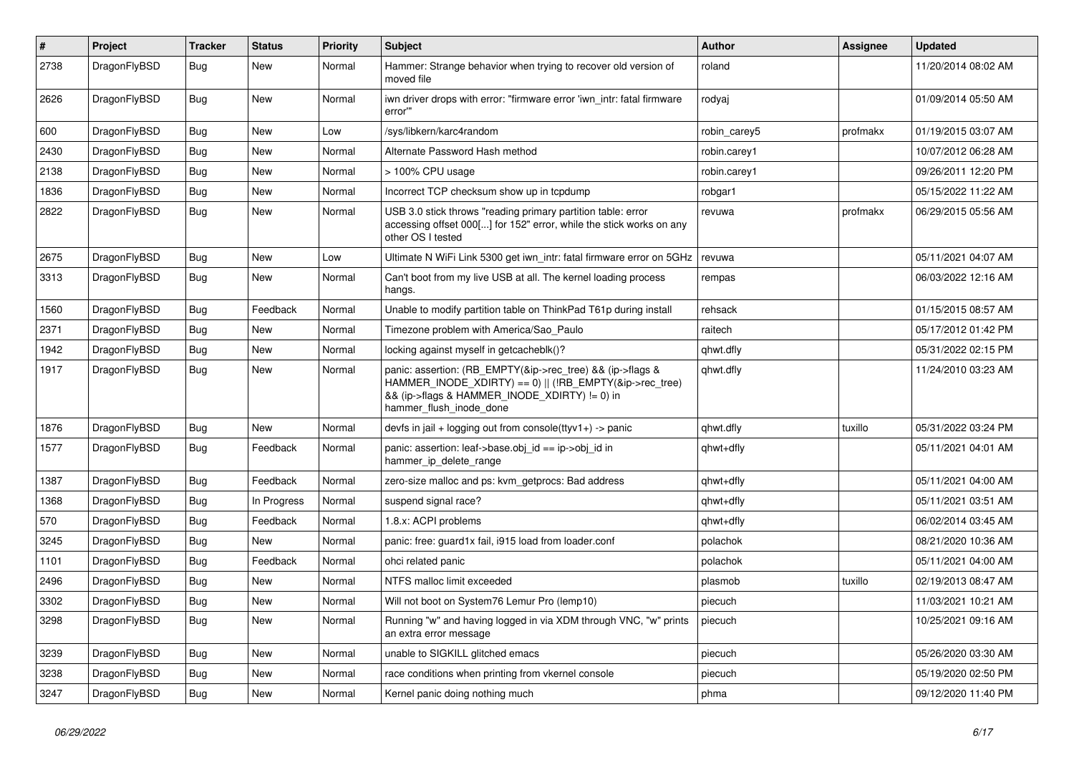| $\sharp$ | Project      | <b>Tracker</b> | <b>Status</b> | <b>Priority</b> | Subject                                                                                                                                                                                           | <b>Author</b> | Assignee | <b>Updated</b>      |
|----------|--------------|----------------|---------------|-----------------|---------------------------------------------------------------------------------------------------------------------------------------------------------------------------------------------------|---------------|----------|---------------------|
| 2738     | DragonFlyBSD | Bug            | <b>New</b>    | Normal          | Hammer: Strange behavior when trying to recover old version of<br>moved file                                                                                                                      | roland        |          | 11/20/2014 08:02 AM |
| 2626     | DragonFlyBSD | Bug            | <b>New</b>    | Normal          | iwn driver drops with error: "firmware error 'iwn intr: fatal firmware<br>error""                                                                                                                 | rodyaj        |          | 01/09/2014 05:50 AM |
| 600      | DragonFlyBSD | Bug            | <b>New</b>    | Low             | /sys/libkern/karc4random                                                                                                                                                                          | robin carey5  | profmakx | 01/19/2015 03:07 AM |
| 2430     | DragonFlyBSD | <b>Bug</b>     | New           | Normal          | Alternate Password Hash method                                                                                                                                                                    | robin.carey1  |          | 10/07/2012 06:28 AM |
| 2138     | DragonFlyBSD | <b>Bug</b>     | <b>New</b>    | Normal          | > 100% CPU usage                                                                                                                                                                                  | robin.carey1  |          | 09/26/2011 12:20 PM |
| 1836     | DragonFlyBSD | Bug            | <b>New</b>    | Normal          | Incorrect TCP checksum show up in tcpdump                                                                                                                                                         | robgar1       |          | 05/15/2022 11:22 AM |
| 2822     | DragonFlyBSD | Bug            | New           | Normal          | USB 3.0 stick throws "reading primary partition table: error<br>accessing offset 000[] for 152" error, while the stick works on any<br>other OS I tested                                          | revuwa        | profmakx | 06/29/2015 05:56 AM |
| 2675     | DragonFlyBSD | <b>Bug</b>     | <b>New</b>    | Low             | Ultimate N WiFi Link 5300 get iwn_intr: fatal firmware error on 5GHz                                                                                                                              | revuwa        |          | 05/11/2021 04:07 AM |
| 3313     | DragonFlyBSD | <b>Bug</b>     | <b>New</b>    | Normal          | Can't boot from my live USB at all. The kernel loading process<br>hangs.                                                                                                                          | rempas        |          | 06/03/2022 12:16 AM |
| 1560     | DragonFlyBSD | <b>Bug</b>     | Feedback      | Normal          | Unable to modify partition table on ThinkPad T61p during install                                                                                                                                  | rehsack       |          | 01/15/2015 08:57 AM |
| 2371     | DragonFlyBSD | <b>Bug</b>     | New           | Normal          | Timezone problem with America/Sao Paulo                                                                                                                                                           | raitech       |          | 05/17/2012 01:42 PM |
| 1942     | DragonFlyBSD | <b>Bug</b>     | New           | Normal          | locking against myself in getcacheblk()?                                                                                                                                                          | qhwt.dfly     |          | 05/31/2022 02:15 PM |
| 1917     | DragonFlyBSD | <b>Bug</b>     | New           | Normal          | panic: assertion: (RB EMPTY(&ip->rec tree) && (ip->flags &<br>HAMMER_INODE_XDIRTY) == 0)    (!RB_EMPTY(&ip->rec_tree)<br>&& (ip->flags & HAMMER_INODE_XDIRTY) != 0) in<br>hammer_flush_inode_done | qhwt.dfly     |          | 11/24/2010 03:23 AM |
| 1876     | DragonFlyBSD | <b>Bug</b>     | New           | Normal          | devfs in $ ail + logging$ out from console(ttyv1+) -> panic                                                                                                                                       | qhwt.dfly     | tuxillo  | 05/31/2022 03:24 PM |
| 1577     | DragonFlyBSD | Bug            | Feedback      | Normal          | panic: assertion: leaf->base.obj id == ip->obj id in<br>hammer_ip_delete_range                                                                                                                    | qhwt+dfly     |          | 05/11/2021 04:01 AM |
| 1387     | DragonFlyBSD | <b>Bug</b>     | Feedback      | Normal          | zero-size malloc and ps: kvm getprocs: Bad address                                                                                                                                                | qhwt+dfly     |          | 05/11/2021 04:00 AM |
| 1368     | DragonFlyBSD | <b>Bug</b>     | In Progress   | Normal          | suspend signal race?                                                                                                                                                                              | qhwt+dfly     |          | 05/11/2021 03:51 AM |
| 570      | DragonFlyBSD | <b>Bug</b>     | Feedback      | Normal          | 1.8.x: ACPI problems                                                                                                                                                                              | qhwt+dfly     |          | 06/02/2014 03:45 AM |
| 3245     | DragonFlyBSD | <b>Bug</b>     | <b>New</b>    | Normal          | panic: free: guard1x fail, i915 load from loader.conf                                                                                                                                             | polachok      |          | 08/21/2020 10:36 AM |
| 1101     | DragonFlyBSD | <b>Bug</b>     | Feedback      | Normal          | ohci related panic                                                                                                                                                                                | polachok      |          | 05/11/2021 04:00 AM |
| 2496     | DragonFlyBSD | Bug            | <b>New</b>    | Normal          | NTFS malloc limit exceeded                                                                                                                                                                        | plasmob       | tuxillo  | 02/19/2013 08:47 AM |
| 3302     | DragonFlyBSD | <b>Bug</b>     | <b>New</b>    | Normal          | Will not boot on System76 Lemur Pro (lemp10)                                                                                                                                                      | piecuch       |          | 11/03/2021 10:21 AM |
| 3298     | DragonFlyBSD | Bug            | New           | Normal          | Running "w" and having logged in via XDM through VNC, "w" prints<br>an extra error message                                                                                                        | piecuch       |          | 10/25/2021 09:16 AM |
| 3239     | DragonFlyBSD | Bug            | New           | Normal          | unable to SIGKILL glitched emacs                                                                                                                                                                  | piecuch       |          | 05/26/2020 03:30 AM |
| 3238     | DragonFlyBSD | <b>Bug</b>     | New           | Normal          | race conditions when printing from vkernel console                                                                                                                                                | piecuch       |          | 05/19/2020 02:50 PM |
| 3247     | DragonFlyBSD | <b>Bug</b>     | New           | Normal          | Kernel panic doing nothing much                                                                                                                                                                   | phma          |          | 09/12/2020 11:40 PM |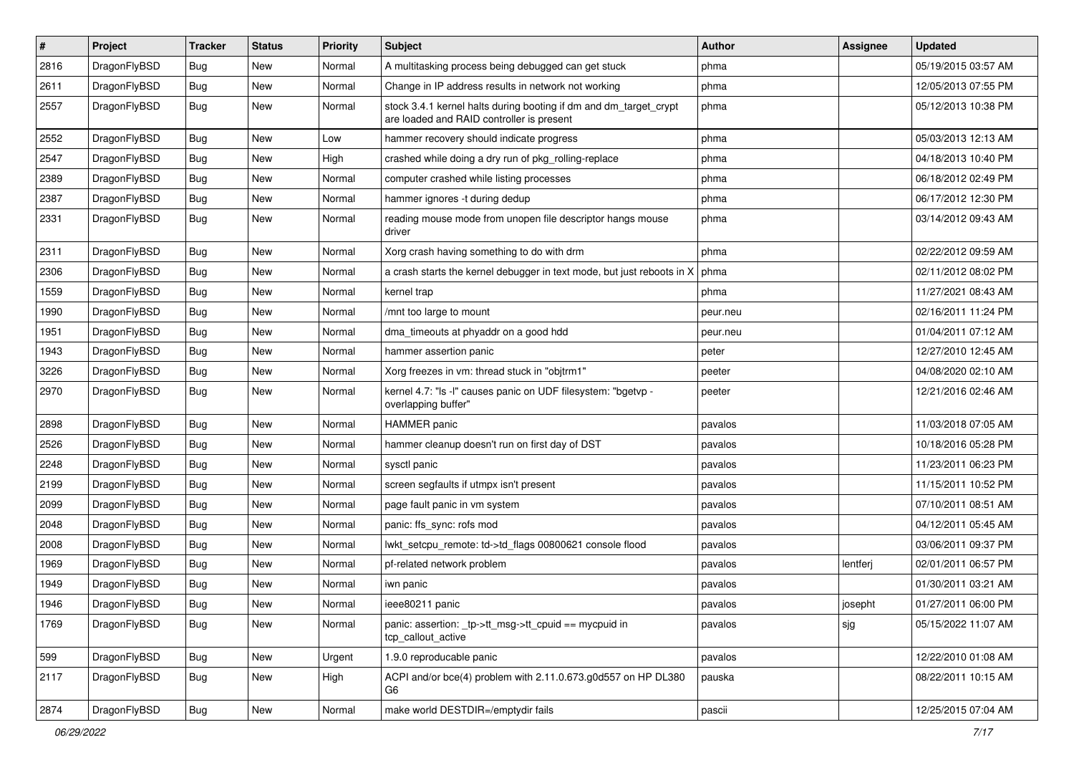| $\pmb{\#}$ | Project      | <b>Tracker</b> | <b>Status</b> | <b>Priority</b> | Subject                                                                                                        | <b>Author</b> | Assignee | <b>Updated</b>      |
|------------|--------------|----------------|---------------|-----------------|----------------------------------------------------------------------------------------------------------------|---------------|----------|---------------------|
| 2816       | DragonFlyBSD | Bug            | New           | Normal          | A multitasking process being debugged can get stuck                                                            | phma          |          | 05/19/2015 03:57 AM |
| 2611       | DragonFlyBSD | Bug            | <b>New</b>    | Normal          | Change in IP address results in network not working                                                            | phma          |          | 12/05/2013 07:55 PM |
| 2557       | DragonFlyBSD | <b>Bug</b>     | New           | Normal          | stock 3.4.1 kernel halts during booting if dm and dm_target_crypt<br>are loaded and RAID controller is present | phma          |          | 05/12/2013 10:38 PM |
| 2552       | DragonFlyBSD | Bug            | <b>New</b>    | Low             | hammer recovery should indicate progress                                                                       | phma          |          | 05/03/2013 12:13 AM |
| 2547       | DragonFlyBSD | <b>Bug</b>     | New           | High            | crashed while doing a dry run of pkg rolling-replace                                                           | phma          |          | 04/18/2013 10:40 PM |
| 2389       | DragonFlyBSD | Bug            | <b>New</b>    | Normal          | computer crashed while listing processes                                                                       | phma          |          | 06/18/2012 02:49 PM |
| 2387       | DragonFlyBSD | Bug            | New           | Normal          | hammer ignores -t during dedup                                                                                 | phma          |          | 06/17/2012 12:30 PM |
| 2331       | DragonFlyBSD | Bug            | New           | Normal          | reading mouse mode from unopen file descriptor hangs mouse<br>driver                                           | phma          |          | 03/14/2012 09:43 AM |
| 2311       | DragonFlyBSD | <b>Bug</b>     | <b>New</b>    | Normal          | Xorg crash having something to do with drm                                                                     | phma          |          | 02/22/2012 09:59 AM |
| 2306       | DragonFlyBSD | Bug            | New           | Normal          | a crash starts the kernel debugger in text mode, but just reboots in X                                         | phma          |          | 02/11/2012 08:02 PM |
| 1559       | DragonFlyBSD | <b>Bug</b>     | <b>New</b>    | Normal          | kernel trap                                                                                                    | phma          |          | 11/27/2021 08:43 AM |
| 1990       | DragonFlyBSD | Bug            | <b>New</b>    | Normal          | /mnt too large to mount                                                                                        | peur.neu      |          | 02/16/2011 11:24 PM |
| 1951       | DragonFlyBSD | Bug            | <b>New</b>    | Normal          | dma_timeouts at phyaddr on a good hdd                                                                          | peur.neu      |          | 01/04/2011 07:12 AM |
| 1943       | DragonFlyBSD | Bug            | New           | Normal          | hammer assertion panic                                                                                         | peter         |          | 12/27/2010 12:45 AM |
| 3226       | DragonFlyBSD | Bug            | New           | Normal          | Xorg freezes in vm: thread stuck in "objtrm1"                                                                  | peeter        |          | 04/08/2020 02:10 AM |
| 2970       | DragonFlyBSD | Bug            | New           | Normal          | kernel 4.7: "Is -I" causes panic on UDF filesystem: "bgetvp -<br>overlapping buffer"                           | peeter        |          | 12/21/2016 02:46 AM |
| 2898       | DragonFlyBSD | Bug            | <b>New</b>    | Normal          | <b>HAMMER</b> panic                                                                                            | pavalos       |          | 11/03/2018 07:05 AM |
| 2526       | DragonFlyBSD | Bug            | <b>New</b>    | Normal          | hammer cleanup doesn't run on first day of DST                                                                 | pavalos       |          | 10/18/2016 05:28 PM |
| 2248       | DragonFlyBSD | Bug            | New           | Normal          | sysctl panic                                                                                                   | pavalos       |          | 11/23/2011 06:23 PM |
| 2199       | DragonFlyBSD | Bug            | <b>New</b>    | Normal          | screen segfaults if utmpx isn't present                                                                        | pavalos       |          | 11/15/2011 10:52 PM |
| 2099       | DragonFlyBSD | Bug            | <b>New</b>    | Normal          | page fault panic in vm system                                                                                  | pavalos       |          | 07/10/2011 08:51 AM |
| 2048       | DragonFlyBSD | Bug            | <b>New</b>    | Normal          | panic: ffs_sync: rofs mod                                                                                      | pavalos       |          | 04/12/2011 05:45 AM |
| 2008       | DragonFlyBSD | Bug            | <b>New</b>    | Normal          | lwkt_setcpu_remote: td->td_flags 00800621 console flood                                                        | pavalos       |          | 03/06/2011 09:37 PM |
| 1969       | DragonFlyBSD | Bug            | New           | Normal          | pf-related network problem                                                                                     | pavalos       | lentferj | 02/01/2011 06:57 PM |
| 1949       | DragonFlyBSD | Bug            | New           | Normal          | iwn panic                                                                                                      | pavalos       |          | 01/30/2011 03:21 AM |
| 1946       | DragonFlyBSD | Bug            | <b>New</b>    | Normal          | ieee80211 panic                                                                                                | pavalos       | josepht  | 01/27/2011 06:00 PM |
| 1769       | DragonFlyBSD | Bug            | New           | Normal          | panic: assertion: _tp->tt_msg->tt_cpuid == mycpuid in<br>tcp callout active                                    | pavalos       | sjg      | 05/15/2022 11:07 AM |
| 599        | DragonFlyBSD | <b>Bug</b>     | New           | Urgent          | 1.9.0 reproducable panic                                                                                       | pavalos       |          | 12/22/2010 01:08 AM |
| 2117       | DragonFlyBSD | Bug            | New           | High            | ACPI and/or bce(4) problem with 2.11.0.673.g0d557 on HP DL380<br>G6                                            | pauska        |          | 08/22/2011 10:15 AM |
| 2874       | DragonFlyBSD | <b>Bug</b>     | New           | Normal          | make world DESTDIR=/emptydir fails                                                                             | pascii        |          | 12/25/2015 07:04 AM |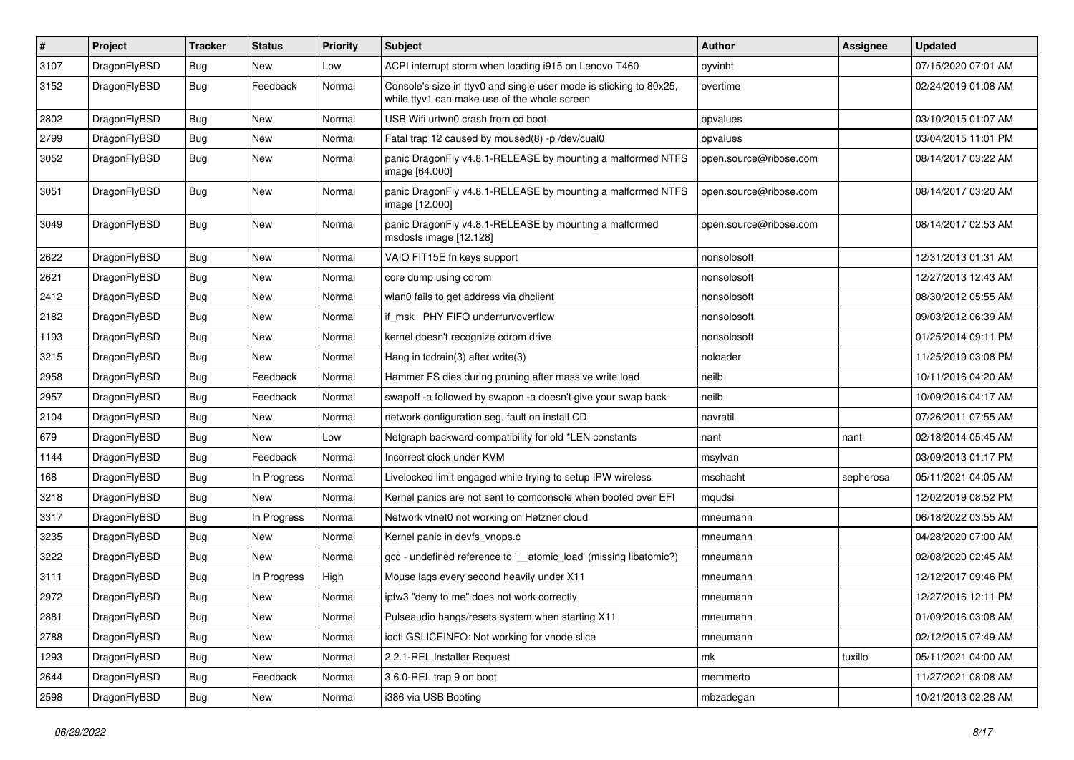| $\sharp$ | Project      | <b>Tracker</b> | <b>Status</b> | <b>Priority</b> | Subject                                                                                                            | <b>Author</b>          | Assignee  | <b>Updated</b>      |
|----------|--------------|----------------|---------------|-----------------|--------------------------------------------------------------------------------------------------------------------|------------------------|-----------|---------------------|
| 3107     | DragonFlyBSD | Bug            | <b>New</b>    | Low             | ACPI interrupt storm when loading i915 on Lenovo T460                                                              | oyvinht                |           | 07/15/2020 07:01 AM |
| 3152     | DragonFlyBSD | <b>Bug</b>     | Feedback      | Normal          | Console's size in ttyv0 and single user mode is sticking to 80x25,<br>while ttyv1 can make use of the whole screen | overtime               |           | 02/24/2019 01:08 AM |
| 2802     | DragonFlyBSD | Bug            | <b>New</b>    | Normal          | USB Wifi urtwn0 crash from cd boot                                                                                 | opvalues               |           | 03/10/2015 01:07 AM |
| 2799     | DragonFlyBSD | Bug            | New           | Normal          | Fatal trap 12 caused by moused(8) -p /dev/cual0                                                                    | opvalues               |           | 03/04/2015 11:01 PM |
| 3052     | DragonFlyBSD | Bug            | New           | Normal          | panic DragonFly v4.8.1-RELEASE by mounting a malformed NTFS<br>image [64.000]                                      | open.source@ribose.com |           | 08/14/2017 03:22 AM |
| 3051     | DragonFlyBSD | Bug            | <b>New</b>    | Normal          | panic DragonFly v4.8.1-RELEASE by mounting a malformed NTFS<br>image [12.000]                                      | open.source@ribose.com |           | 08/14/2017 03:20 AM |
| 3049     | DragonFlyBSD | Bug            | New           | Normal          | panic DragonFly v4.8.1-RELEASE by mounting a malformed<br>msdosfs image [12.128]                                   | open.source@ribose.com |           | 08/14/2017 02:53 AM |
| 2622     | DragonFlyBSD | Bug            | New           | Normal          | VAIO FIT15E fn keys support                                                                                        | nonsolosoft            |           | 12/31/2013 01:31 AM |
| 2621     | DragonFlyBSD | Bug            | <b>New</b>    | Normal          | core dump using cdrom                                                                                              | nonsolosoft            |           | 12/27/2013 12:43 AM |
| 2412     | DragonFlyBSD | Bug            | New           | Normal          | wlan0 fails to get address via dhclient                                                                            | nonsolosoft            |           | 08/30/2012 05:55 AM |
| 2182     | DragonFlyBSD | Bug            | <b>New</b>    | Normal          | if msk PHY FIFO underrun/overflow                                                                                  | nonsolosoft            |           | 09/03/2012 06:39 AM |
| 1193     | DragonFlyBSD | <b>Bug</b>     | <b>New</b>    | Normal          | kernel doesn't recognize cdrom drive                                                                               | nonsolosoft            |           | 01/25/2014 09:11 PM |
| 3215     | DragonFlyBSD | <b>Bug</b>     | New           | Normal          | Hang in tcdrain(3) after write(3)                                                                                  | noloader               |           | 11/25/2019 03:08 PM |
| 2958     | DragonFlyBSD | Bug            | Feedback      | Normal          | Hammer FS dies during pruning after massive write load                                                             | neilb                  |           | 10/11/2016 04:20 AM |
| 2957     | DragonFlyBSD | <b>Bug</b>     | Feedback      | Normal          | swapoff -a followed by swapon -a doesn't give your swap back                                                       | neilb                  |           | 10/09/2016 04:17 AM |
| 2104     | DragonFlyBSD | <b>Bug</b>     | New           | Normal          | network configuration seg. fault on install CD                                                                     | navratil               |           | 07/26/2011 07:55 AM |
| 679      | DragonFlyBSD | <b>Bug</b>     | New           | Low             | Netgraph backward compatibility for old *LEN constants                                                             | nant                   | nant      | 02/18/2014 05:45 AM |
| 1144     | DragonFlyBSD | <b>Bug</b>     | Feedback      | Normal          | Incorrect clock under KVM                                                                                          | msylvan                |           | 03/09/2013 01:17 PM |
| 168      | DragonFlyBSD | <b>Bug</b>     | In Progress   | Normal          | Livelocked limit engaged while trying to setup IPW wireless                                                        | mschacht               | sepherosa | 05/11/2021 04:05 AM |
| 3218     | DragonFlyBSD | <b>Bug</b>     | <b>New</b>    | Normal          | Kernel panics are not sent to comconsole when booted over EFI                                                      | mqudsi                 |           | 12/02/2019 08:52 PM |
| 3317     | DragonFlyBSD | <b>Bug</b>     | In Progress   | Normal          | Network vtnet0 not working on Hetzner cloud                                                                        | mneumann               |           | 06/18/2022 03:55 AM |
| 3235     | DragonFlyBSD | <b>Bug</b>     | New           | Normal          | Kernel panic in devfs_vnops.c                                                                                      | mneumann               |           | 04/28/2020 07:00 AM |
| 3222     | DragonFlyBSD | <b>Bug</b>     | New           | Normal          | gcc - undefined reference to '__atomic_load' (missing libatomic?)                                                  | mneumann               |           | 02/08/2020 02:45 AM |
| 3111     | DragonFlyBSD | <b>Bug</b>     | In Progress   | High            | Mouse lags every second heavily under X11                                                                          | mneumann               |           | 12/12/2017 09:46 PM |
| 2972     | DragonFlyBSD | <b>Bug</b>     | <b>New</b>    | Normal          | ipfw3 "deny to me" does not work correctly                                                                         | mneumann               |           | 12/27/2016 12:11 PM |
| 2881     | DragonFlyBSD | <b>Bug</b>     | New           | Normal          | Pulseaudio hangs/resets system when starting X11                                                                   | mneumann               |           | 01/09/2016 03:08 AM |
| 2788     | DragonFlyBSD | <b>Bug</b>     | <b>New</b>    | Normal          | ioctl GSLICEINFO: Not working for vnode slice                                                                      | mneumann               |           | 02/12/2015 07:49 AM |
| 1293     | DragonFlyBSD | <b>Bug</b>     | New           | Normal          | 2.2.1-REL Installer Request                                                                                        | mk                     | tuxillo   | 05/11/2021 04:00 AM |
| 2644     | DragonFlyBSD | <b>Bug</b>     | Feedback      | Normal          | 3.6.0-REL trap 9 on boot                                                                                           | memmerto               |           | 11/27/2021 08:08 AM |
| 2598     | DragonFlyBSD | <b>Bug</b>     | New           | Normal          | i386 via USB Booting                                                                                               | mbzadegan              |           | 10/21/2013 02:28 AM |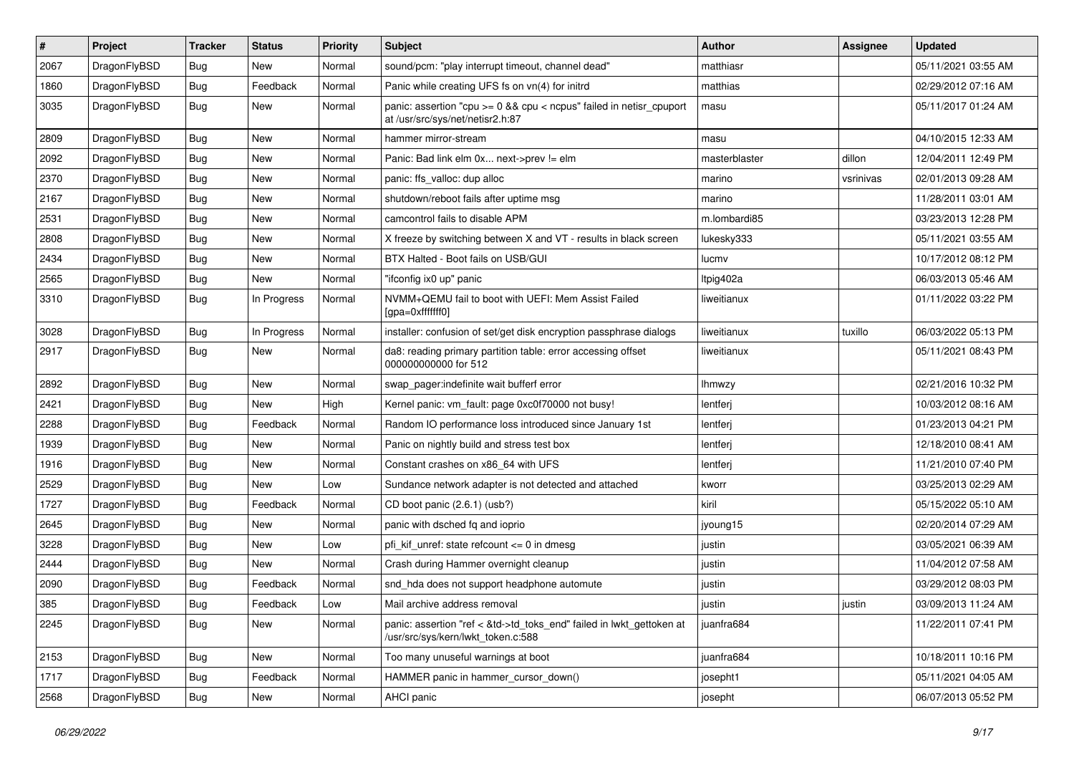| $\sharp$ | Project      | <b>Tracker</b> | <b>Status</b> | <b>Priority</b> | Subject                                                                                                         | <b>Author</b> | Assignee  | <b>Updated</b>      |
|----------|--------------|----------------|---------------|-----------------|-----------------------------------------------------------------------------------------------------------------|---------------|-----------|---------------------|
| 2067     | DragonFlyBSD | <b>Bug</b>     | <b>New</b>    | Normal          | sound/pcm: "play interrupt timeout, channel dead"                                                               | matthiasr     |           | 05/11/2021 03:55 AM |
| 1860     | DragonFlyBSD | Bug            | Feedback      | Normal          | Panic while creating UFS fs on vn(4) for initrd                                                                 | matthias      |           | 02/29/2012 07:16 AM |
| 3035     | DragonFlyBSD | Bug            | New           | Normal          | panic: assertion "cpu $>= 0$ && cpu < ncpus" failed in netisr cpuport<br>at /usr/src/sys/net/netisr2.h:87       | masu          |           | 05/11/2017 01:24 AM |
| 2809     | DragonFlyBSD | Bug            | New           | Normal          | hammer mirror-stream                                                                                            | masu          |           | 04/10/2015 12:33 AM |
| 2092     | DragonFlyBSD | Bug            | New           | Normal          | Panic: Bad link elm 0x next->prev != elm                                                                        | masterblaster | dillon    | 12/04/2011 12:49 PM |
| 2370     | DragonFlyBSD | Bug            | <b>New</b>    | Normal          | panic: ffs_valloc: dup alloc                                                                                    | marino        | vsrinivas | 02/01/2013 09:28 AM |
| 2167     | DragonFlyBSD | Bug            | New           | Normal          | shutdown/reboot fails after uptime msq                                                                          | marino        |           | 11/28/2011 03:01 AM |
| 2531     | DragonFlyBSD | Bug            | New           | Normal          | camcontrol fails to disable APM                                                                                 | m.lombardi85  |           | 03/23/2013 12:28 PM |
| 2808     | DragonFlyBSD | Bug            | <b>New</b>    | Normal          | X freeze by switching between X and VT - results in black screen                                                | lukesky333    |           | 05/11/2021 03:55 AM |
| 2434     | DragonFlyBSD | Bug            | New           | Normal          | BTX Halted - Boot fails on USB/GUI                                                                              | lucmv         |           | 10/17/2012 08:12 PM |
| 2565     | DragonFlyBSD | Bug            | New           | Normal          | "ifconfig ix0 up" panic                                                                                         | Itpig402a     |           | 06/03/2013 05:46 AM |
| 3310     | DragonFlyBSD | Bug            | In Progress   | Normal          | NVMM+QEMU fail to boot with UEFI: Mem Assist Failed<br>[gpa=0xfffffff0]                                         | liweitianux   |           | 01/11/2022 03:22 PM |
| 3028     | DragonFlyBSD | Bug            | In Progress   | Normal          | installer: confusion of set/get disk encryption passphrase dialogs                                              | liweitianux   | tuxillo   | 06/03/2022 05:13 PM |
| 2917     | DragonFlyBSD | Bug            | New           | Normal          | da8: reading primary partition table: error accessing offset<br>000000000000 for 512                            | liweitianux   |           | 05/11/2021 08:43 PM |
| 2892     | DragonFlyBSD | Bug            | <b>New</b>    | Normal          | swap_pager:indefinite wait bufferf error                                                                        | Ihmwzy        |           | 02/21/2016 10:32 PM |
| 2421     | DragonFlyBSD | Bug            | New           | High            | Kernel panic: vm fault: page 0xc0f70000 not busy!                                                               | lentferj      |           | 10/03/2012 08:16 AM |
| 2288     | DragonFlyBSD | Bug            | Feedback      | Normal          | Random IO performance loss introduced since January 1st                                                         | lentferj      |           | 01/23/2013 04:21 PM |
| 1939     | DragonFlyBSD | <b>Bug</b>     | New           | Normal          | Panic on nightly build and stress test box                                                                      | lentferj      |           | 12/18/2010 08:41 AM |
| 1916     | DragonFlyBSD | Bug            | New           | Normal          | Constant crashes on x86_64 with UFS                                                                             | lentferj      |           | 11/21/2010 07:40 PM |
| 2529     | DragonFlyBSD | Bug            | New           | Low             | Sundance network adapter is not detected and attached                                                           | kworr         |           | 03/25/2013 02:29 AM |
| 1727     | DragonFlyBSD | Bug            | Feedback      | Normal          | CD boot panic (2.6.1) (usb?)                                                                                    | kiril         |           | 05/15/2022 05:10 AM |
| 2645     | DragonFlyBSD | Bug            | New           | Normal          | panic with dsched fq and ioprio                                                                                 | jyoung15      |           | 02/20/2014 07:29 AM |
| 3228     | DragonFlyBSD | Bug            | New           | Low             | pfi kif unref: state refcount $\leq$ 0 in dmesg                                                                 | justin        |           | 03/05/2021 06:39 AM |
| 2444     | DragonFlyBSD | Bug            | New           | Normal          | Crash during Hammer overnight cleanup                                                                           | justin        |           | 11/04/2012 07:58 AM |
| 2090     | DragonFlyBSD | Bug            | Feedback      | Normal          | snd_hda does not support headphone automute                                                                     | justin        |           | 03/29/2012 08:03 PM |
| 385      | DragonFlyBSD | Bug            | Feedback      | Low             | Mail archive address removal                                                                                    | justin        | justin    | 03/09/2013 11:24 AM |
| 2245     | DragonFlyBSD | <b>Bug</b>     | New           | Normal          | panic: assertion "ref < &td->td_toks_end" failed in lwkt_gettoken at<br>.<br>/usr/src/sys/kern/lwkt_token.c:588 | juanfra684    |           | 11/22/2011 07:41 PM |
| 2153     | DragonFlyBSD | <b>Bug</b>     | New           | Normal          | Too many unuseful warnings at boot                                                                              | juanfra684    |           | 10/18/2011 10:16 PM |
| 1717     | DragonFlyBSD | <b>Bug</b>     | Feedback      | Normal          | HAMMER panic in hammer_cursor_down()                                                                            | josepht1      |           | 05/11/2021 04:05 AM |
| 2568     | DragonFlyBSD | <b>Bug</b>     | New           | Normal          | AHCI panic                                                                                                      | josepht       |           | 06/07/2013 05:52 PM |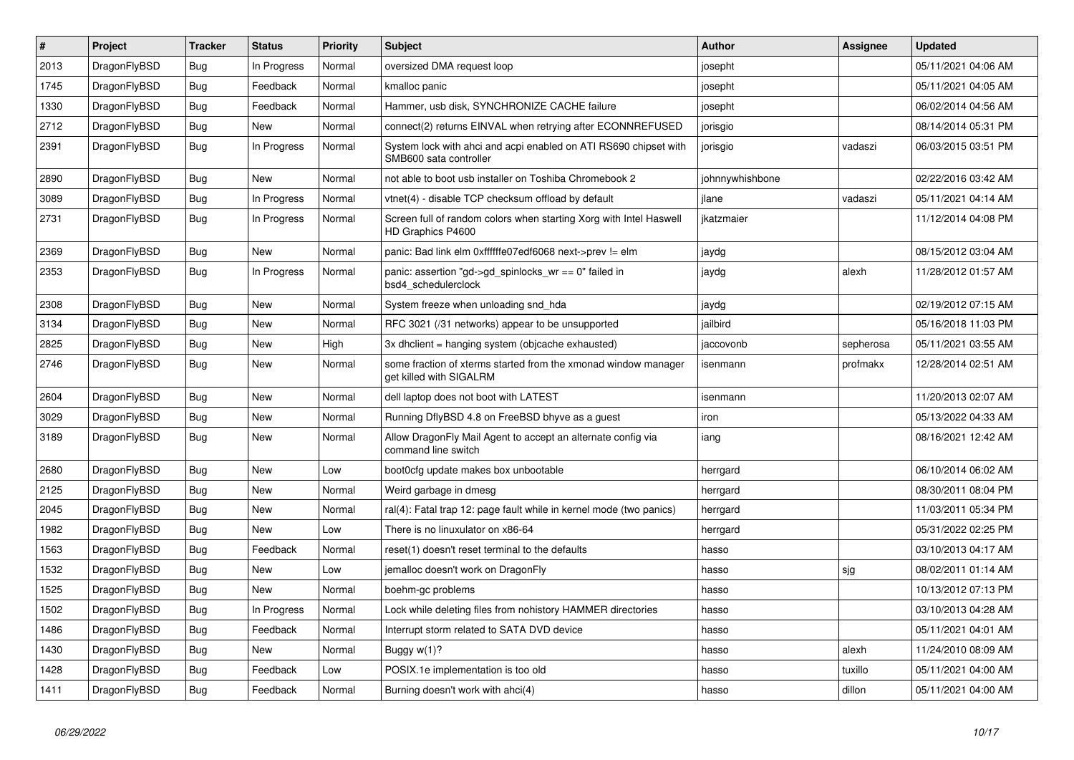| $\vert$ # | <b>Project</b> | <b>Tracker</b> | <b>Status</b> | <b>Priority</b> | <b>Subject</b>                                                                             | <b>Author</b>   | Assignee  | <b>Updated</b>      |
|-----------|----------------|----------------|---------------|-----------------|--------------------------------------------------------------------------------------------|-----------------|-----------|---------------------|
| 2013      | DragonFlyBSD   | Bug            | In Progress   | Normal          | oversized DMA request loop                                                                 | josepht         |           | 05/11/2021 04:06 AM |
| 1745      | DragonFlyBSD   | <b>Bug</b>     | Feedback      | Normal          | kmalloc panic                                                                              | josepht         |           | 05/11/2021 04:05 AM |
| 1330      | DragonFlyBSD   | <b>Bug</b>     | Feedback      | Normal          | Hammer, usb disk, SYNCHRONIZE CACHE failure                                                | josepht         |           | 06/02/2014 04:56 AM |
| 2712      | DragonFlyBSD   | Bug            | New           | Normal          | connect(2) returns EINVAL when retrying after ECONNREFUSED                                 | jorisgio        |           | 08/14/2014 05:31 PM |
| 2391      | DragonFlyBSD   | Bug            | In Progress   | Normal          | System lock with ahci and acpi enabled on ATI RS690 chipset with<br>SMB600 sata controller | jorisgio        | vadaszi   | 06/03/2015 03:51 PM |
| 2890      | DragonFlyBSD   | Bug            | <b>New</b>    | Normal          | not able to boot usb installer on Toshiba Chromebook 2                                     | johnnywhishbone |           | 02/22/2016 03:42 AM |
| 3089      | DragonFlyBSD   | Bug            | In Progress   | Normal          | vtnet(4) - disable TCP checksum offload by default                                         | ilane           | vadaszi   | 05/11/2021 04:14 AM |
| 2731      | DragonFlyBSD   | Bug            | In Progress   | Normal          | Screen full of random colors when starting Xorg with Intel Haswell<br>HD Graphics P4600    | ikatzmaier      |           | 11/12/2014 04:08 PM |
| 2369      | DragonFlyBSD   | <b>Bug</b>     | <b>New</b>    | Normal          | panic: Bad link elm 0xffffffe07edf6068 next->prev != elm                                   | jaydg           |           | 08/15/2012 03:04 AM |
| 2353      | DragonFlyBSD   | Bug            | In Progress   | Normal          | panic: assertion "gd->gd spinlocks $wr == 0$ " failed in<br>bsd4 schedulerclock            | jaydg           | alexh     | 11/28/2012 01:57 AM |
| 2308      | DragonFlyBSD   | <b>Bug</b>     | New           | Normal          | System freeze when unloading snd hda                                                       | jaydg           |           | 02/19/2012 07:15 AM |
| 3134      | DragonFlyBSD   | <b>Bug</b>     | <b>New</b>    | Normal          | RFC 3021 (/31 networks) appear to be unsupported                                           | jailbird        |           | 05/16/2018 11:03 PM |
| 2825      | DragonFlyBSD   | <b>Bug</b>     | <b>New</b>    | High            | 3x dhclient = hanging system (objcache exhausted)                                          | jaccovonb       | sepherosa | 05/11/2021 03:55 AM |
| 2746      | DragonFlyBSD   | <b>Bug</b>     | New           | Normal          | some fraction of xterms started from the xmonad window manager<br>get killed with SIGALRM  | isenmann        | profmakx  | 12/28/2014 02:51 AM |
| 2604      | DragonFlyBSD   | <b>Bug</b>     | <b>New</b>    | Normal          | dell laptop does not boot with LATEST                                                      | isenmann        |           | 11/20/2013 02:07 AM |
| 3029      | DragonFlyBSD   | Bug            | <b>New</b>    | Normal          | Running DflyBSD 4.8 on FreeBSD bhyve as a quest                                            | iron            |           | 05/13/2022 04:33 AM |
| 3189      | DragonFlyBSD   | Bug            | <b>New</b>    | Normal          | Allow DragonFly Mail Agent to accept an alternate config via<br>command line switch        | iang            |           | 08/16/2021 12:42 AM |
| 2680      | DragonFlyBSD   | <b>Bug</b>     | New           | Low             | boot0cfg update makes box unbootable                                                       | herrgard        |           | 06/10/2014 06:02 AM |
| 2125      | DragonFlyBSD   | Bug            | New           | Normal          | Weird garbage in dmesg                                                                     | herrgard        |           | 08/30/2011 08:04 PM |
| 2045      | DragonFlyBSD   | Bug            | New           | Normal          | ral(4): Fatal trap 12: page fault while in kernel mode (two panics)                        | herrgard        |           | 11/03/2011 05:34 PM |
| 1982      | DragonFlyBSD   | <b>Bug</b>     | New           | Low             | There is no linuxulator on x86-64                                                          | herrgard        |           | 05/31/2022 02:25 PM |
| 1563      | DragonFlyBSD   | <b>Bug</b>     | Feedback      | Normal          | reset(1) doesn't reset terminal to the defaults                                            | hasso           |           | 03/10/2013 04:17 AM |
| 1532      | DragonFlyBSD   | Bug            | New           | Low             | jemalloc doesn't work on DragonFly                                                         | hasso           | sjg       | 08/02/2011 01:14 AM |
| 1525      | DragonFlyBSD   | Bug            | New           | Normal          | boehm-gc problems                                                                          | hasso           |           | 10/13/2012 07:13 PM |
| 1502      | DragonFlyBSD   | <b>Bug</b>     | In Progress   | Normal          | Lock while deleting files from nohistory HAMMER directories                                | hasso           |           | 03/10/2013 04:28 AM |
| 1486      | DragonFlyBSD   | <b>Bug</b>     | Feedback      | Normal          | Interrupt storm related to SATA DVD device                                                 | hasso           |           | 05/11/2021 04:01 AM |
| 1430      | DragonFlyBSD   | Bug            | New           | Normal          | Buggy $w(1)$ ?                                                                             | hasso           | alexh     | 11/24/2010 08:09 AM |
| 1428      | DragonFlyBSD   | Bug            | Feedback      | Low             | POSIX.1e implementation is too old                                                         | hasso           | tuxillo   | 05/11/2021 04:00 AM |
| 1411      | DragonFlyBSD   | Bug            | Feedback      | Normal          | Burning doesn't work with ahci(4)                                                          | hasso           | dillon    | 05/11/2021 04:00 AM |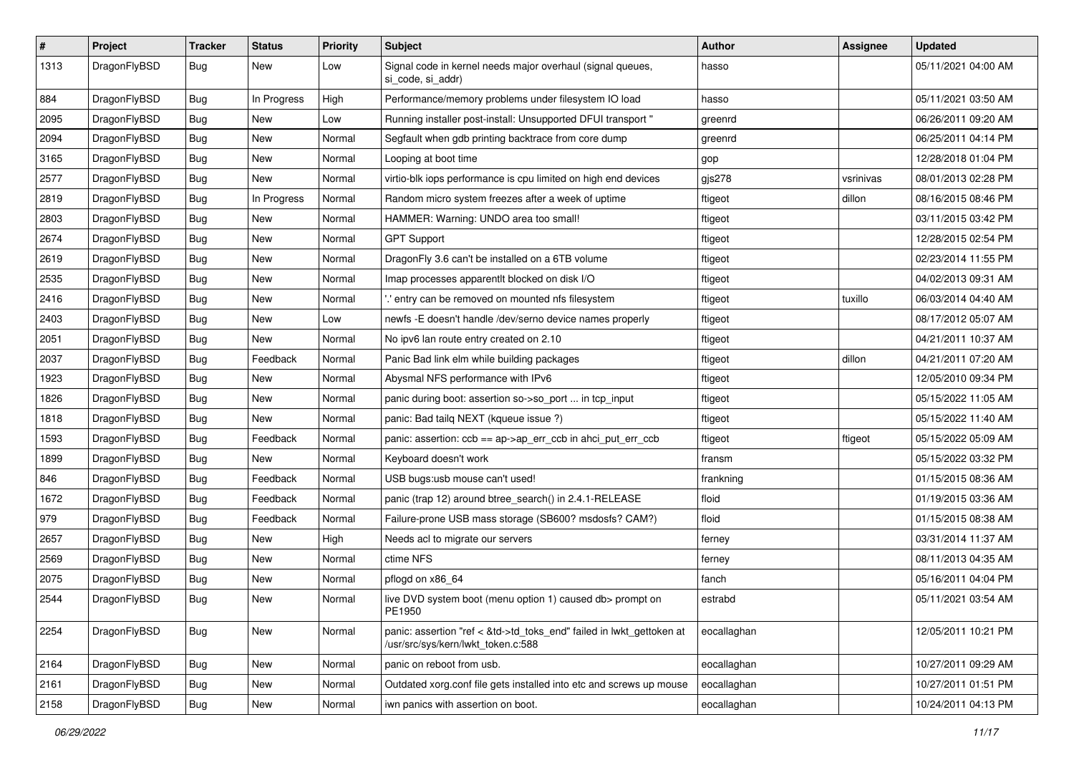| $\sharp$ | Project      | <b>Tracker</b> | <b>Status</b> | <b>Priority</b> | Subject                                                                                                    | <b>Author</b> | <b>Assignee</b> | <b>Updated</b>      |
|----------|--------------|----------------|---------------|-----------------|------------------------------------------------------------------------------------------------------------|---------------|-----------------|---------------------|
| 1313     | DragonFlyBSD | Bug            | New           | Low             | Signal code in kernel needs major overhaul (signal queues,<br>si_code, si_addr)                            | hasso         |                 | 05/11/2021 04:00 AM |
| 884      | DragonFlyBSD | <b>Bug</b>     | In Progress   | High            | Performance/memory problems under filesystem IO load                                                       | hasso         |                 | 05/11/2021 03:50 AM |
| 2095     | DragonFlyBSD | <b>Bug</b>     | New           | Low             | Running installer post-install: Unsupported DFUI transport "                                               | greenrd       |                 | 06/26/2011 09:20 AM |
| 2094     | DragonFlyBSD | Bug            | New           | Normal          | Segfault when gdb printing backtrace from core dump                                                        | greenrd       |                 | 06/25/2011 04:14 PM |
| 3165     | DragonFlyBSD | Bug            | <b>New</b>    | Normal          | Looping at boot time                                                                                       | gop           |                 | 12/28/2018 01:04 PM |
| 2577     | DragonFlyBSD | <b>Bug</b>     | <b>New</b>    | Normal          | virtio-blk iops performance is cpu limited on high end devices                                             | gjs278        | vsrinivas       | 08/01/2013 02:28 PM |
| 2819     | DragonFlyBSD | <b>Bug</b>     | In Progress   | Normal          | Random micro system freezes after a week of uptime                                                         | ftigeot       | dillon          | 08/16/2015 08:46 PM |
| 2803     | DragonFlyBSD | <b>Bug</b>     | New           | Normal          | HAMMER: Warning: UNDO area too small!                                                                      | ftigeot       |                 | 03/11/2015 03:42 PM |
| 2674     | DragonFlyBSD | Bug            | <b>New</b>    | Normal          | <b>GPT Support</b>                                                                                         | ftigeot       |                 | 12/28/2015 02:54 PM |
| 2619     | DragonFlyBSD | <b>Bug</b>     | New           | Normal          | DragonFly 3.6 can't be installed on a 6TB volume                                                           | ftigeot       |                 | 02/23/2014 11:55 PM |
| 2535     | DragonFlyBSD | Bug            | <b>New</b>    | Normal          | Imap processes apparentlt blocked on disk I/O                                                              | ftigeot       |                 | 04/02/2013 09:31 AM |
| 2416     | DragonFlyBSD | <b>Bug</b>     | <b>New</b>    | Normal          | ".' entry can be removed on mounted nfs filesystem                                                         | ftigeot       | tuxillo         | 06/03/2014 04:40 AM |
| 2403     | DragonFlyBSD | <b>Bug</b>     | New           | Low             | newfs -E doesn't handle /dev/serno device names properly                                                   | ftigeot       |                 | 08/17/2012 05:07 AM |
| 2051     | DragonFlyBSD | Bug            | New           | Normal          | No ipv6 lan route entry created on 2.10                                                                    | ftigeot       |                 | 04/21/2011 10:37 AM |
| 2037     | DragonFlyBSD | <b>Bug</b>     | Feedback      | Normal          | Panic Bad link elm while building packages                                                                 | ftigeot       | dillon          | 04/21/2011 07:20 AM |
| 1923     | DragonFlyBSD | Bug            | <b>New</b>    | Normal          | Abysmal NFS performance with IPv6                                                                          | ftigeot       |                 | 12/05/2010 09:34 PM |
| 1826     | DragonFlyBSD | <b>Bug</b>     | New           | Normal          | panic during boot: assertion so->so_port  in tcp_input                                                     | ftigeot       |                 | 05/15/2022 11:05 AM |
| 1818     | DragonFlyBSD | Bug            | New           | Normal          | panic: Bad tailq NEXT (kqueue issue ?)                                                                     | ftigeot       |                 | 05/15/2022 11:40 AM |
| 1593     | DragonFlyBSD | <b>Bug</b>     | Feedback      | Normal          | panic: assertion: ccb == ap->ap_err_ccb in ahci_put_err_ccb                                                | ftigeot       | ftigeot         | 05/15/2022 05:09 AM |
| 1899     | DragonFlyBSD | <b>Bug</b>     | New           | Normal          | Keyboard doesn't work                                                                                      | fransm        |                 | 05/15/2022 03:32 PM |
| 846      | DragonFlyBSD | <b>Bug</b>     | Feedback      | Normal          | USB bugs:usb mouse can't used!                                                                             | frankning     |                 | 01/15/2015 08:36 AM |
| 1672     | DragonFlyBSD | <b>Bug</b>     | Feedback      | Normal          | panic (trap 12) around btree_search() in 2.4.1-RELEASE                                                     | floid         |                 | 01/19/2015 03:36 AM |
| 979      | DragonFlyBSD | <b>Bug</b>     | Feedback      | Normal          | Failure-prone USB mass storage (SB600? msdosfs? CAM?)                                                      | floid         |                 | 01/15/2015 08:38 AM |
| 2657     | DragonFlyBSD | Bug            | New           | High            | Needs acl to migrate our servers                                                                           | ferney        |                 | 03/31/2014 11:37 AM |
| 2569     | DragonFlyBSD | <b>Bug</b>     | <b>New</b>    | Normal          | ctime NFS                                                                                                  | ferney        |                 | 08/11/2013 04:35 AM |
| 2075     | DragonFlyBSD | <b>Bug</b>     | <b>New</b>    | Normal          | pflogd on x86_64                                                                                           | fanch         |                 | 05/16/2011 04:04 PM |
| 2544     | DragonFlyBSD | <b>Bug</b>     | New           | Normal          | live DVD system boot (menu option 1) caused db> prompt on<br>PE1950                                        | estrabd       |                 | 05/11/2021 03:54 AM |
| 2254     | DragonFlyBSD | Bug            | New           | Normal          | panic: assertion "ref < &td->td_toks_end" failed in lwkt_gettoken at<br>/usr/src/sys/kern/lwkt_token.c:588 | eocallaghan   |                 | 12/05/2011 10:21 PM |
| 2164     | DragonFlyBSD | <b>Bug</b>     | <b>New</b>    | Normal          | panic on reboot from usb.                                                                                  | eocallaghan   |                 | 10/27/2011 09:29 AM |
| 2161     | DragonFlyBSD | <b>Bug</b>     | New           | Normal          | Outdated xorg.conf file gets installed into etc and screws up mouse                                        | eocallaghan   |                 | 10/27/2011 01:51 PM |
| 2158     | DragonFlyBSD | <b>Bug</b>     | New           | Normal          | iwn panics with assertion on boot.                                                                         | eocallaghan   |                 | 10/24/2011 04:13 PM |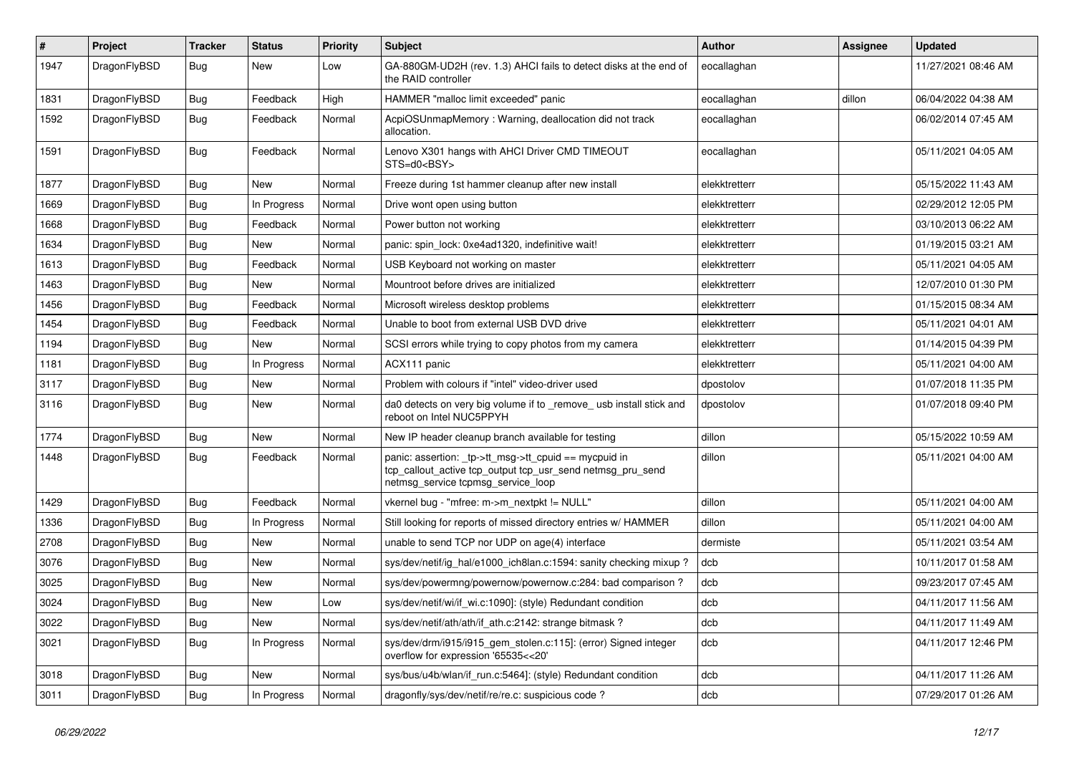| $\sharp$ | Project      | <b>Tracker</b> | <b>Status</b> | <b>Priority</b> | Subject                                                                                                                                                   | <b>Author</b> | Assignee | <b>Updated</b>      |
|----------|--------------|----------------|---------------|-----------------|-----------------------------------------------------------------------------------------------------------------------------------------------------------|---------------|----------|---------------------|
| 1947     | DragonFlyBSD | <b>Bug</b>     | New           | Low             | GA-880GM-UD2H (rev. 1.3) AHCI fails to detect disks at the end of<br>the RAID controller                                                                  | eocallaghan   |          | 11/27/2021 08:46 AM |
| 1831     | DragonFlyBSD | <b>Bug</b>     | Feedback      | High            | HAMMER "malloc limit exceeded" panic                                                                                                                      | eocallaghan   | dillon   | 06/04/2022 04:38 AM |
| 1592     | DragonFlyBSD | <b>Bug</b>     | Feedback      | Normal          | AcpiOSUnmapMemory: Warning, deallocation did not track<br>allocation.                                                                                     | eocallaghan   |          | 06/02/2014 07:45 AM |
| 1591     | DragonFlyBSD | <b>Bug</b>     | Feedback      | Normal          | Lenovo X301 hangs with AHCI Driver CMD TIMEOUT<br>STS=d0 <bsy></bsy>                                                                                      | eocallaghan   |          | 05/11/2021 04:05 AM |
| 1877     | DragonFlyBSD | <b>Bug</b>     | <b>New</b>    | Normal          | Freeze during 1st hammer cleanup after new install                                                                                                        | elekktretterr |          | 05/15/2022 11:43 AM |
| 1669     | DragonFlyBSD | <b>Bug</b>     | In Progress   | Normal          | Drive wont open using button                                                                                                                              | elekktretterr |          | 02/29/2012 12:05 PM |
| 1668     | DragonFlyBSD | <b>Bug</b>     | Feedback      | Normal          | Power button not working                                                                                                                                  | elekktretterr |          | 03/10/2013 06:22 AM |
| 1634     | DragonFlyBSD | <b>Bug</b>     | New           | Normal          | panic: spin lock: 0xe4ad1320, indefinitive wait!                                                                                                          | elekktretterr |          | 01/19/2015 03:21 AM |
| 1613     | DragonFlyBSD | <b>Bug</b>     | Feedback      | Normal          | USB Keyboard not working on master                                                                                                                        | elekktretterr |          | 05/11/2021 04:05 AM |
| 1463     | DragonFlyBSD | <b>Bug</b>     | New           | Normal          | Mountroot before drives are initialized                                                                                                                   | elekktretterr |          | 12/07/2010 01:30 PM |
| 1456     | DragonFlyBSD | <b>Bug</b>     | Feedback      | Normal          | Microsoft wireless desktop problems                                                                                                                       | elekktretterr |          | 01/15/2015 08:34 AM |
| 1454     | DragonFlyBSD | <b>Bug</b>     | Feedback      | Normal          | Unable to boot from external USB DVD drive                                                                                                                | elekktretterr |          | 05/11/2021 04:01 AM |
| 1194     | DragonFlyBSD | <b>Bug</b>     | New           | Normal          | SCSI errors while trying to copy photos from my camera                                                                                                    | elekktretterr |          | 01/14/2015 04:39 PM |
| 1181     | DragonFlyBSD | <b>Bug</b>     | In Progress   | Normal          | ACX111 panic                                                                                                                                              | elekktretterr |          | 05/11/2021 04:00 AM |
| 3117     | DragonFlyBSD | <b>Bug</b>     | New           | Normal          | Problem with colours if "intel" video-driver used                                                                                                         | dpostolov     |          | 01/07/2018 11:35 PM |
| 3116     | DragonFlyBSD | <b>Bug</b>     | New           | Normal          | da0 detects on very big volume if to _remove_ usb install stick and<br>reboot on Intel NUC5PPYH                                                           | dpostolov     |          | 01/07/2018 09:40 PM |
| 1774     | DragonFlyBSD | <b>Bug</b>     | New           | Normal          | New IP header cleanup branch available for testing                                                                                                        | dillon        |          | 05/15/2022 10:59 AM |
| 1448     | DragonFlyBSD | <b>Bug</b>     | Feedback      | Normal          | panic: assertion: _tp->tt_msg->tt_cpuid == mycpuid in<br>tcp_callout_active tcp_output tcp_usr_send netmsg_pru_send<br>netmsg service tcpmsg service loop | dillon        |          | 05/11/2021 04:00 AM |
| 1429     | DragonFlyBSD | <b>Bug</b>     | Feedback      | Normal          | vkernel bug - "mfree: m->m_nextpkt != NULL"                                                                                                               | dillon        |          | 05/11/2021 04:00 AM |
| 1336     | DragonFlyBSD | <b>Bug</b>     | In Progress   | Normal          | Still looking for reports of missed directory entries w/ HAMMER                                                                                           | dillon        |          | 05/11/2021 04:00 AM |
| 2708     | DragonFlyBSD | <b>Bug</b>     | New           | Normal          | unable to send TCP nor UDP on age(4) interface                                                                                                            | dermiste      |          | 05/11/2021 03:54 AM |
| 3076     | DragonFlyBSD | <b>Bug</b>     | New           | Normal          | sys/dev/netif/ig_hal/e1000_ich8lan.c:1594: sanity checking mixup?                                                                                         | dcb           |          | 10/11/2017 01:58 AM |
| 3025     | DragonFlyBSD | Bug            | New           | Normal          | sys/dev/powermng/powernow/powernow.c:284: bad comparison?                                                                                                 | dcb           |          | 09/23/2017 07:45 AM |
| 3024     | DragonFlyBSD | <b>Bug</b>     | <b>New</b>    | Low             | sys/dev/netif/wi/if_wi.c:1090]: (style) Redundant condition                                                                                               | dcb           |          | 04/11/2017 11:56 AM |
| 3022     | DragonFlyBSD | Bug            | New           | Normal          | sys/dev/netif/ath/ath/if ath.c:2142: strange bitmask?                                                                                                     | dcb           |          | 04/11/2017 11:49 AM |
| 3021     | DragonFlyBSD | <b>Bug</b>     | In Progress   | Normal          | sys/dev/drm/i915/i915_gem_stolen.c:115]: (error) Signed integer<br>overflow for expression '65535<<20'                                                    | dcb           |          | 04/11/2017 12:46 PM |
| 3018     | DragonFlyBSD | <b>Bug</b>     | New           | Normal          | sys/bus/u4b/wlan/if_run.c:5464]: (style) Redundant condition                                                                                              | dcb           |          | 04/11/2017 11:26 AM |
| 3011     | DragonFlyBSD | <b>Bug</b>     | In Progress   | Normal          | dragonfly/sys/dev/netif/re/re.c: suspicious code?                                                                                                         | dcb           |          | 07/29/2017 01:26 AM |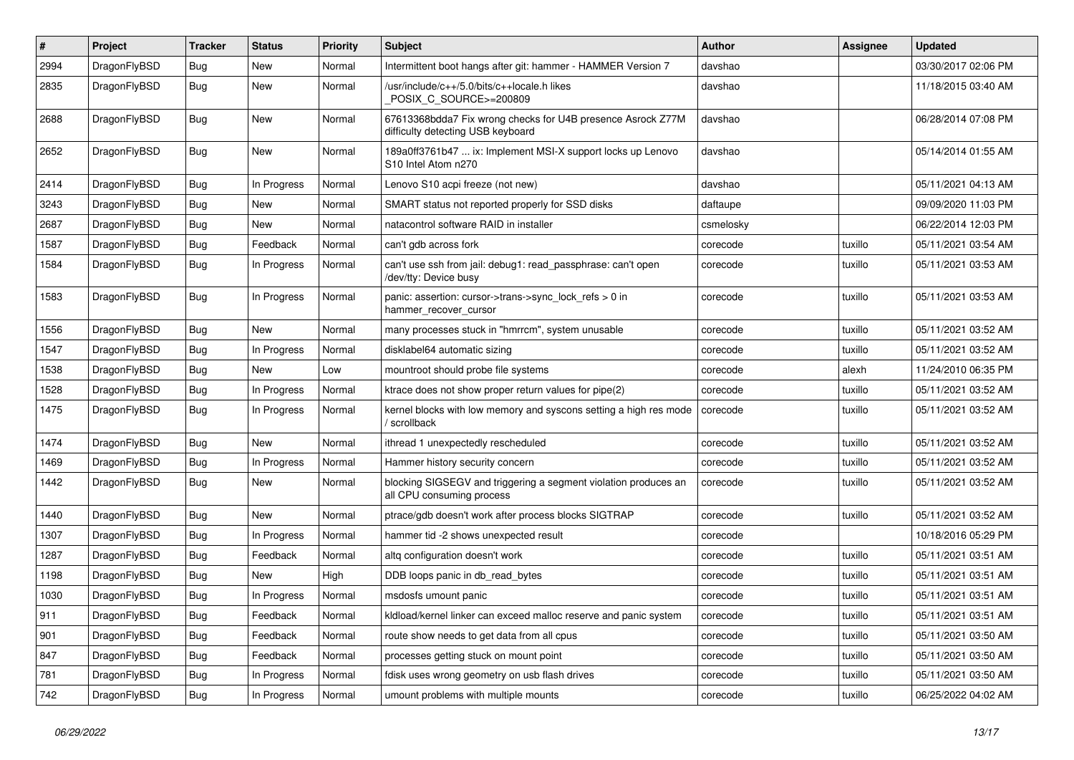| $\pmb{\#}$ | Project      | <b>Tracker</b> | <b>Status</b> | <b>Priority</b> | Subject                                                                                          | <b>Author</b> | Assignee | Updated             |
|------------|--------------|----------------|---------------|-----------------|--------------------------------------------------------------------------------------------------|---------------|----------|---------------------|
| 2994       | DragonFlyBSD | Bug            | New           | Normal          | Intermittent boot hangs after git: hammer - HAMMER Version 7                                     | davshao       |          | 03/30/2017 02:06 PM |
| 2835       | DragonFlyBSD | Bug            | New           | Normal          | /usr/include/c++/5.0/bits/c++locale.h likes<br>POSIX C SOURCE>=200809                            | davshao       |          | 11/18/2015 03:40 AM |
| 2688       | DragonFlyBSD | Bug            | New           | Normal          | 67613368bdda7 Fix wrong checks for U4B presence Asrock Z77M<br>difficulty detecting USB keyboard | davshao       |          | 06/28/2014 07:08 PM |
| 2652       | DragonFlyBSD | Bug            | New           | Normal          | 189a0ff3761b47  ix: Implement MSI-X support locks up Lenovo<br>S10 Intel Atom n270               | davshao       |          | 05/14/2014 01:55 AM |
| 2414       | DragonFlyBSD | <b>Bug</b>     | In Progress   | Normal          | Lenovo S10 acpi freeze (not new)                                                                 | davshao       |          | 05/11/2021 04:13 AM |
| 3243       | DragonFlyBSD | Bug            | New           | Normal          | SMART status not reported properly for SSD disks                                                 | daftaupe      |          | 09/09/2020 11:03 PM |
| 2687       | DragonFlyBSD | Bug            | <b>New</b>    | Normal          | natacontrol software RAID in installer                                                           | csmelosky     |          | 06/22/2014 12:03 PM |
| 1587       | DragonFlyBSD | Bug            | Feedback      | Normal          | can't gdb across fork                                                                            | corecode      | tuxillo  | 05/11/2021 03:54 AM |
| 1584       | DragonFlyBSD | Bug            | In Progress   | Normal          | can't use ssh from jail: debug1: read_passphrase: can't open<br>/dev/tty: Device busy            | corecode      | tuxillo  | 05/11/2021 03:53 AM |
| 1583       | DragonFlyBSD | Bug            | In Progress   | Normal          | panic: assertion: cursor->trans->sync_lock_refs > 0 in<br>hammer_recover_cursor                  | corecode      | tuxillo  | 05/11/2021 03:53 AM |
| 1556       | DragonFlyBSD | <b>Bug</b>     | New           | Normal          | many processes stuck in "hmrrcm", system unusable                                                | corecode      | tuxillo  | 05/11/2021 03:52 AM |
| 1547       | DragonFlyBSD | Bug            | In Progress   | Normal          | disklabel64 automatic sizing                                                                     | corecode      | tuxillo  | 05/11/2021 03:52 AM |
| 1538       | DragonFlyBSD | Bug            | New           | Low             | mountroot should probe file systems                                                              | corecode      | alexh    | 11/24/2010 06:35 PM |
| 1528       | DragonFlyBSD | Bug            | In Progress   | Normal          | ktrace does not show proper return values for pipe(2)                                            | corecode      | tuxillo  | 05/11/2021 03:52 AM |
| 1475       | DragonFlyBSD | Bug            | In Progress   | Normal          | kernel blocks with low memory and syscons setting a high res mode<br>/ scrollback                | corecode      | tuxillo  | 05/11/2021 03:52 AM |
| 1474       | DragonFlyBSD | <b>Bug</b>     | New           | Normal          | ithread 1 unexpectedly rescheduled                                                               | corecode      | tuxillo  | 05/11/2021 03:52 AM |
| 1469       | DragonFlyBSD | Bug            | In Progress   | Normal          | Hammer history security concern                                                                  | corecode      | tuxillo  | 05/11/2021 03:52 AM |
| 1442       | DragonFlyBSD | Bug            | <b>New</b>    | Normal          | blocking SIGSEGV and triggering a segment violation produces an<br>all CPU consuming process     | corecode      | tuxillo  | 05/11/2021 03:52 AM |
| 1440       | DragonFlyBSD | Bug            | <b>New</b>    | Normal          | ptrace/gdb doesn't work after process blocks SIGTRAP                                             | corecode      | tuxillo  | 05/11/2021 03:52 AM |
| 1307       | DragonFlyBSD | Bug            | In Progress   | Normal          | hammer tid -2 shows unexpected result                                                            | corecode      |          | 10/18/2016 05:29 PM |
| 1287       | DragonFlyBSD | <b>Bug</b>     | Feedback      | Normal          | altq configuration doesn't work                                                                  | corecode      | tuxillo  | 05/11/2021 03:51 AM |
| 1198       | DragonFlyBSD | Bug            | <b>New</b>    | High            | DDB loops panic in db read bytes                                                                 | corecode      | tuxillo  | 05/11/2021 03:51 AM |
| 1030       | DragonFlyBSD | Bug            | In Progress   | Normal          | msdosfs umount panic                                                                             | corecode      | tuxillo  | 05/11/2021 03:51 AM |
| 911        | DragonFlyBSD | <b>Bug</b>     | Feedback      | Normal          | kldload/kernel linker can exceed malloc reserve and panic system                                 | corecode      | tuxillo  | 05/11/2021 03:51 AM |
| 901        | DragonFlyBSD | Bug            | Feedback      | Normal          | route show needs to get data from all cpus                                                       | corecode      | tuxillo  | 05/11/2021 03:50 AM |
| 847        | DragonFlyBSD | <b>Bug</b>     | Feedback      | Normal          | processes getting stuck on mount point                                                           | corecode      | tuxillo  | 05/11/2021 03:50 AM |
| 781        | DragonFlyBSD | Bug            | In Progress   | Normal          | fdisk uses wrong geometry on usb flash drives                                                    | corecode      | tuxillo  | 05/11/2021 03:50 AM |
| 742        | DragonFlyBSD | <b>Bug</b>     | In Progress   | Normal          | umount problems with multiple mounts                                                             | corecode      | tuxillo  | 06/25/2022 04:02 AM |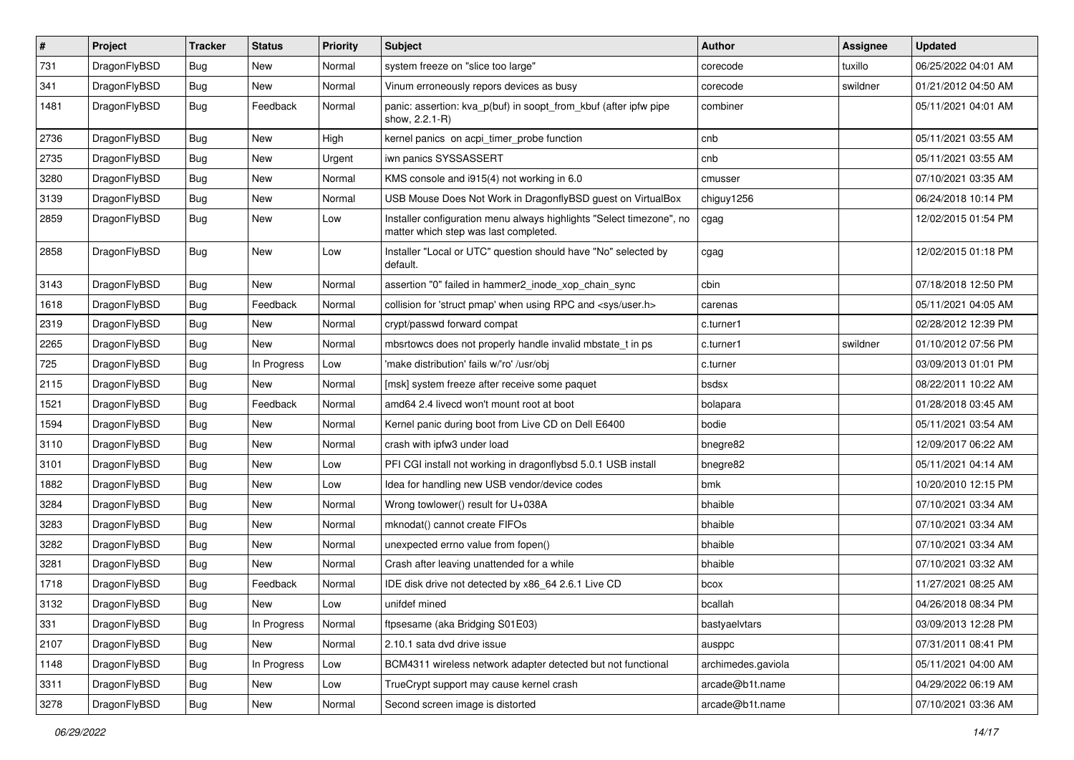| $\sharp$ | Project      | <b>Tracker</b> | <b>Status</b> | <b>Priority</b> | Subject                                                                                                       | <b>Author</b>      | Assignee | <b>Updated</b>      |
|----------|--------------|----------------|---------------|-----------------|---------------------------------------------------------------------------------------------------------------|--------------------|----------|---------------------|
| 731      | DragonFlyBSD | <b>Bug</b>     | New           | Normal          | system freeze on "slice too large"                                                                            | corecode           | tuxillo  | 06/25/2022 04:01 AM |
| 341      | DragonFlyBSD | Bug            | New           | Normal          | Vinum erroneously repors devices as busy                                                                      | corecode           | swildner | 01/21/2012 04:50 AM |
| 1481     | DragonFlyBSD | <b>Bug</b>     | Feedback      | Normal          | panic: assertion: kva_p(buf) in soopt_from_kbuf (after ipfw pipe<br>show, 2.2.1-R)                            | combiner           |          | 05/11/2021 04:01 AM |
| 2736     | DragonFlyBSD | Bug            | <b>New</b>    | High            | kernel panics on acpi_timer_probe function                                                                    | cnb                |          | 05/11/2021 03:55 AM |
| 2735     | DragonFlyBSD | <b>Bug</b>     | New           | Urgent          | iwn panics SYSSASSERT                                                                                         | cnb                |          | 05/11/2021 03:55 AM |
| 3280     | DragonFlyBSD | <b>Bug</b>     | New           | Normal          | KMS console and i915(4) not working in 6.0                                                                    | cmusser            |          | 07/10/2021 03:35 AM |
| 3139     | DragonFlyBSD | <b>Bug</b>     | New           | Normal          | USB Mouse Does Not Work in DragonflyBSD guest on VirtualBox                                                   | chiguy1256         |          | 06/24/2018 10:14 PM |
| 2859     | DragonFlyBSD | <b>Bug</b>     | New           | Low             | Installer configuration menu always highlights "Select timezone", no<br>matter which step was last completed. | cgag               |          | 12/02/2015 01:54 PM |
| 2858     | DragonFlyBSD | Bug            | <b>New</b>    | Low             | Installer "Local or UTC" question should have "No" selected by<br>default.                                    | cgag               |          | 12/02/2015 01:18 PM |
| 3143     | DragonFlyBSD | Bug            | <b>New</b>    | Normal          | assertion "0" failed in hammer2_inode_xop_chain_sync                                                          | cbin               |          | 07/18/2018 12:50 PM |
| 1618     | DragonFlyBSD | <b>Bug</b>     | Feedback      | Normal          | collision for 'struct pmap' when using RPC and <sys user.h=""></sys>                                          | carenas            |          | 05/11/2021 04:05 AM |
| 2319     | DragonFlyBSD | <b>Bug</b>     | New           | Normal          | crypt/passwd forward compat                                                                                   | c.turner1          |          | 02/28/2012 12:39 PM |
| 2265     | DragonFlyBSD | Bug            | New           | Normal          | mbsrtowcs does not properly handle invalid mbstate t in ps                                                    | c.turner1          | swildner | 01/10/2012 07:56 PM |
| 725      | DragonFlyBSD | Bug            | In Progress   | Low             | 'make distribution' fails w/'ro' /usr/obj                                                                     | c.turner           |          | 03/09/2013 01:01 PM |
| 2115     | DragonFlyBSD | Bug            | New           | Normal          | [msk] system freeze after receive some paquet                                                                 | bsdsx              |          | 08/22/2011 10:22 AM |
| 1521     | DragonFlyBSD | Bug            | Feedback      | Normal          | amd64 2.4 livecd won't mount root at boot                                                                     | bolapara           |          | 01/28/2018 03:45 AM |
| 1594     | DragonFlyBSD | Bug            | <b>New</b>    | Normal          | Kernel panic during boot from Live CD on Dell E6400                                                           | bodie              |          | 05/11/2021 03:54 AM |
| 3110     | DragonFlyBSD | Bug            | New           | Normal          | crash with ipfw3 under load                                                                                   | bnegre82           |          | 12/09/2017 06:22 AM |
| 3101     | DragonFlyBSD | Bug            | <b>New</b>    | Low             | PFI CGI install not working in dragonflybsd 5.0.1 USB install                                                 | bnegre82           |          | 05/11/2021 04:14 AM |
| 1882     | DragonFlyBSD | Bug            | <b>New</b>    | Low             | Idea for handling new USB vendor/device codes                                                                 | bmk                |          | 10/20/2010 12:15 PM |
| 3284     | DragonFlyBSD | Bug            | <b>New</b>    | Normal          | Wrong towlower() result for U+038A                                                                            | bhaible            |          | 07/10/2021 03:34 AM |
| 3283     | DragonFlyBSD | Bug            | New           | Normal          | mknodat() cannot create FIFOs                                                                                 | bhaible            |          | 07/10/2021 03:34 AM |
| 3282     | DragonFlyBSD | Bug            | <b>New</b>    | Normal          | unexpected errno value from fopen()                                                                           | bhaible            |          | 07/10/2021 03:34 AM |
| 3281     | DragonFlyBSD | Bug            | New           | Normal          | Crash after leaving unattended for a while                                                                    | bhaible            |          | 07/10/2021 03:32 AM |
| 1718     | DragonFlyBSD | Bug            | Feedback      | Normal          | IDE disk drive not detected by x86_64 2.6.1 Live CD                                                           | bcox               |          | 11/27/2021 08:25 AM |
| 3132     | DragonFlyBSD | Bug            | <b>New</b>    | Low             | unifdef mined                                                                                                 | bcallah            |          | 04/26/2018 08:34 PM |
| 331      | DragonFlyBSD | <b>Bug</b>     | In Progress   | Normal          | ftpsesame (aka Bridging S01E03)                                                                               | bastyaelvtars      |          | 03/09/2013 12:28 PM |
| 2107     | DragonFlyBSD | <b>Bug</b>     | New           | Normal          | 2.10.1 sata dvd drive issue                                                                                   | ausppc             |          | 07/31/2011 08:41 PM |
| 1148     | DragonFlyBSD | Bug            | In Progress   | Low             | BCM4311 wireless network adapter detected but not functional                                                  | archimedes.gaviola |          | 05/11/2021 04:00 AM |
| 3311     | DragonFlyBSD | <b>Bug</b>     | New           | Low             | TrueCrypt support may cause kernel crash                                                                      | arcade@b1t.name    |          | 04/29/2022 06:19 AM |
| 3278     | DragonFlyBSD | <b>Bug</b>     | New           | Normal          | Second screen image is distorted                                                                              | arcade@b1t.name    |          | 07/10/2021 03:36 AM |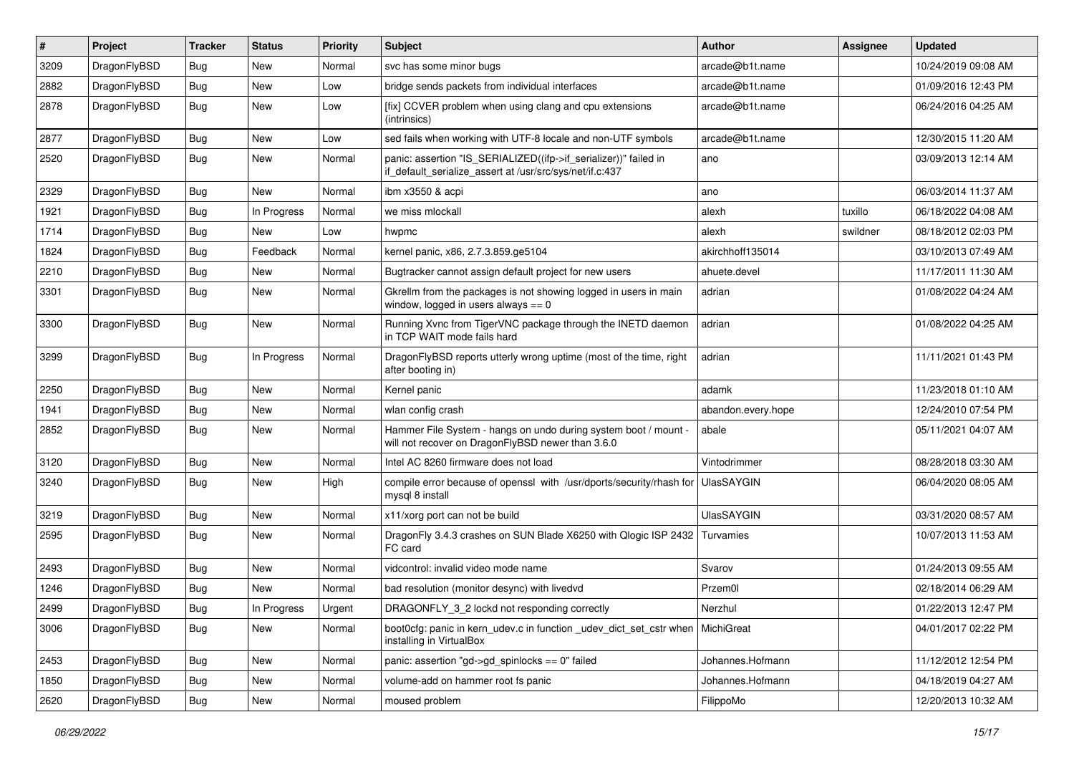| #    | Project      | <b>Tracker</b> | <b>Status</b> | <b>Priority</b> | Subject                                                                                                                      | <b>Author</b>      | <b>Assignee</b> | <b>Updated</b>      |
|------|--------------|----------------|---------------|-----------------|------------------------------------------------------------------------------------------------------------------------------|--------------------|-----------------|---------------------|
| 3209 | DragonFlyBSD | Bug            | New           | Normal          | svc has some minor bugs                                                                                                      | arcade@b1t.name    |                 | 10/24/2019 09:08 AM |
| 2882 | DragonFlyBSD | Bug            | New           | Low             | bridge sends packets from individual interfaces                                                                              | arcade@b1t.name    |                 | 01/09/2016 12:43 PM |
| 2878 | DragonFlyBSD | Bug            | New           | Low             | [fix] CCVER problem when using clang and cpu extensions<br>(intrinsics)                                                      | arcade@b1t.name    |                 | 06/24/2016 04:25 AM |
| 2877 | DragonFlyBSD | Bug            | <b>New</b>    | Low             | sed fails when working with UTF-8 locale and non-UTF symbols                                                                 | arcade@b1t.name    |                 | 12/30/2015 11:20 AM |
| 2520 | DragonFlyBSD | Bug            | New           | Normal          | panic: assertion "IS_SERIALIZED((ifp->if_serializer))" failed in<br>if_default_serialize_assert at /usr/src/sys/net/if.c:437 | ano                |                 | 03/09/2013 12:14 AM |
| 2329 | DragonFlyBSD | Bug            | <b>New</b>    | Normal          | ibm x3550 & acpi                                                                                                             | ano                |                 | 06/03/2014 11:37 AM |
| 1921 | DragonFlyBSD | Bug            | In Progress   | Normal          | we miss mlockall                                                                                                             | alexh              | tuxillo         | 06/18/2022 04:08 AM |
| 1714 | DragonFlyBSD | Bug            | New           | Low             | hwpmc                                                                                                                        | alexh              | swildner        | 08/18/2012 02:03 PM |
| 1824 | DragonFlyBSD | Bug            | Feedback      | Normal          | kernel panic, x86, 2.7.3.859.ge5104                                                                                          | akirchhoff135014   |                 | 03/10/2013 07:49 AM |
| 2210 | DragonFlyBSD | Bug            | <b>New</b>    | Normal          | Bugtracker cannot assign default project for new users                                                                       | ahuete.devel       |                 | 11/17/2011 11:30 AM |
| 3301 | DragonFlyBSD | Bug            | New           | Normal          | Gkrellm from the packages is not showing logged in users in main<br>window, logged in users always $== 0$                    | adrian             |                 | 01/08/2022 04:24 AM |
| 3300 | DragonFlyBSD | Bug            | New           | Normal          | Running Xvnc from TigerVNC package through the INETD daemon<br>in TCP WAIT mode fails hard                                   | adrian             |                 | 01/08/2022 04:25 AM |
| 3299 | DragonFlyBSD | Bug            | In Progress   | Normal          | DragonFlyBSD reports utterly wrong uptime (most of the time, right<br>after booting in)                                      | adrian             |                 | 11/11/2021 01:43 PM |
| 2250 | DragonFlyBSD | Bug            | <b>New</b>    | Normal          | Kernel panic                                                                                                                 | adamk              |                 | 11/23/2018 01:10 AM |
| 1941 | DragonFlyBSD | Bug            | New           | Normal          | wlan config crash                                                                                                            | abandon.every.hope |                 | 12/24/2010 07:54 PM |
| 2852 | DragonFlyBSD | Bug            | New           | Normal          | Hammer File System - hangs on undo during system boot / mount -<br>will not recover on DragonFlyBSD newer than 3.6.0         | abale              |                 | 05/11/2021 04:07 AM |
| 3120 | DragonFlyBSD | Bug            | New           | Normal          | Intel AC 8260 firmware does not load                                                                                         | Vintodrimmer       |                 | 08/28/2018 03:30 AM |
| 3240 | DragonFlyBSD | Bug            | <b>New</b>    | High            | compile error because of openssl with /usr/dports/security/rhash for<br>mysql 8 install                                      | <b>UlasSAYGIN</b>  |                 | 06/04/2020 08:05 AM |
| 3219 | DragonFlyBSD | Bug            | New           | Normal          | x11/xorg port can not be build                                                                                               | <b>UlasSAYGIN</b>  |                 | 03/31/2020 08:57 AM |
| 2595 | DragonFlyBSD | Bug            | New           | Normal          | DragonFly 3.4.3 crashes on SUN Blade X6250 with Qlogic ISP 2432<br>FC card                                                   | Turvamies          |                 | 10/07/2013 11:53 AM |
| 2493 | DragonFlyBSD | Bug            | New           | Normal          | vidcontrol: invalid video mode name                                                                                          | Svarov             |                 | 01/24/2013 09:55 AM |
| 1246 | DragonFlyBSD | Bug            | New           | Normal          | bad resolution (monitor desync) with livedvd                                                                                 | Przem0l            |                 | 02/18/2014 06:29 AM |
| 2499 | DragonFlyBSD | <b>Bug</b>     | In Progress   | Urgent          | DRAGONFLY_3_2 lockd not responding correctly                                                                                 | Nerzhul            |                 | 01/22/2013 12:47 PM |
| 3006 | DragonFlyBSD | Bug            | New           | Normal          | boot0cfg: panic in kern_udev.c in function _udev_dict_set_cstr when<br>installing in VirtualBox                              | MichiGreat         |                 | 04/01/2017 02:22 PM |
| 2453 | DragonFlyBSD | Bug            | New           | Normal          | panic: assertion "gd->gd_spinlocks == $0$ " failed                                                                           | Johannes.Hofmann   |                 | 11/12/2012 12:54 PM |
| 1850 | DragonFlyBSD | <b>Bug</b>     | New           | Normal          | volume-add on hammer root fs panic                                                                                           | Johannes.Hofmann   |                 | 04/18/2019 04:27 AM |
| 2620 | DragonFlyBSD | <b>Bug</b>     | New           | Normal          | moused problem                                                                                                               | FilippoMo          |                 | 12/20/2013 10:32 AM |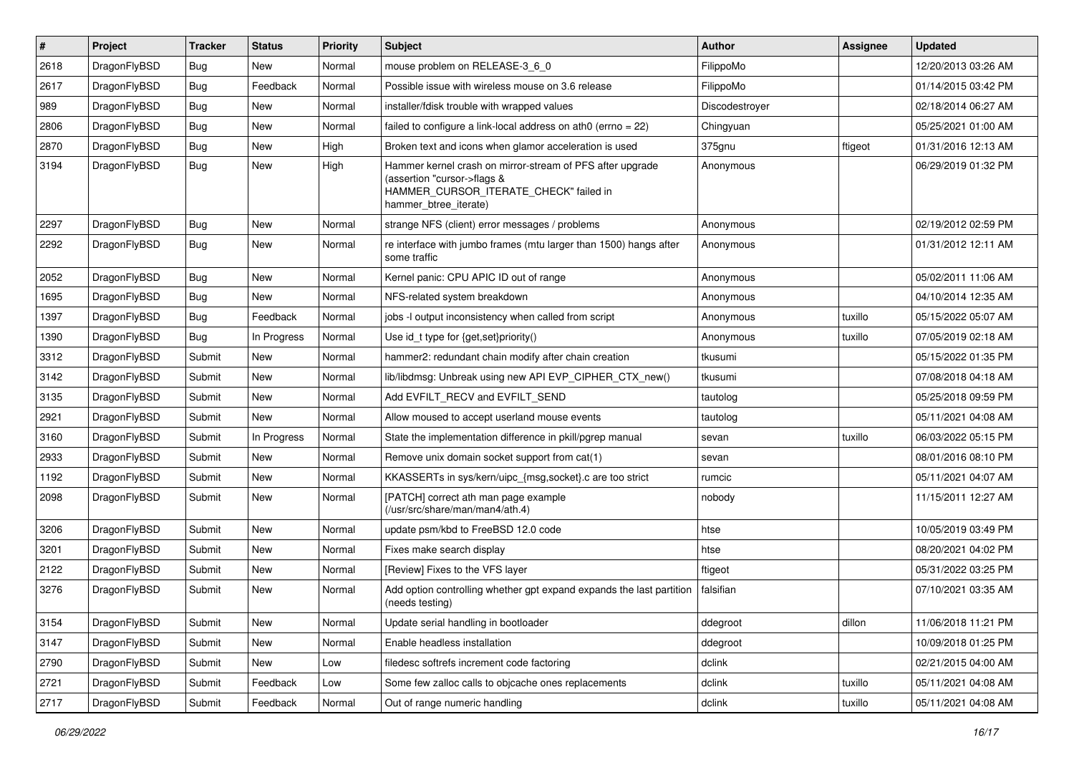| $\sharp$ | Project      | <b>Tracker</b> | <b>Status</b> | <b>Priority</b> | Subject                                                                                                                                                     | <b>Author</b>  | Assignee | <b>Updated</b>      |
|----------|--------------|----------------|---------------|-----------------|-------------------------------------------------------------------------------------------------------------------------------------------------------------|----------------|----------|---------------------|
| 2618     | DragonFlyBSD | Bug            | New           | Normal          | mouse problem on RELEASE-3_6_0                                                                                                                              | FilippoMo      |          | 12/20/2013 03:26 AM |
| 2617     | DragonFlyBSD | Bug            | Feedback      | Normal          | Possible issue with wireless mouse on 3.6 release                                                                                                           | FilippoMo      |          | 01/14/2015 03:42 PM |
| 989      | DragonFlyBSD | <b>Bug</b>     | New           | Normal          | installer/fdisk trouble with wrapped values                                                                                                                 | Discodestroyer |          | 02/18/2014 06:27 AM |
| 2806     | DragonFlyBSD | Bug            | New           | Normal          | failed to configure a link-local address on ath0 (errno = 22)                                                                                               | Chingyuan      |          | 05/25/2021 01:00 AM |
| 2870     | DragonFlyBSD | Bug            | <b>New</b>    | High            | Broken text and icons when glamor acceleration is used                                                                                                      | 375gnu         | ftigeot  | 01/31/2016 12:13 AM |
| 3194     | DragonFlyBSD | Bug            | <b>New</b>    | High            | Hammer kernel crash on mirror-stream of PFS after upgrade<br>(assertion "cursor->flags &<br>HAMMER_CURSOR_ITERATE_CHECK" failed in<br>hammer_btree_iterate) | Anonymous      |          | 06/29/2019 01:32 PM |
| 2297     | DragonFlyBSD | Bug            | <b>New</b>    | Normal          | strange NFS (client) error messages / problems                                                                                                              | Anonymous      |          | 02/19/2012 02:59 PM |
| 2292     | DragonFlyBSD | Bug            | <b>New</b>    | Normal          | re interface with jumbo frames (mtu larger than 1500) hangs after<br>some traffic                                                                           | Anonymous      |          | 01/31/2012 12:11 AM |
| 2052     | DragonFlyBSD | Bug            | New           | Normal          | Kernel panic: CPU APIC ID out of range                                                                                                                      | Anonymous      |          | 05/02/2011 11:06 AM |
| 1695     | DragonFlyBSD | Bug            | New           | Normal          | NFS-related system breakdown                                                                                                                                | Anonymous      |          | 04/10/2014 12:35 AM |
| 1397     | DragonFlyBSD | Bug            | Feedback      | Normal          | jobs -I output inconsistency when called from script                                                                                                        | Anonymous      | tuxillo  | 05/15/2022 05:07 AM |
| 1390     | DragonFlyBSD | Bug            | In Progress   | Normal          | Use id_t type for {get,set}priority()                                                                                                                       | Anonymous      | tuxillo  | 07/05/2019 02:18 AM |
| 3312     | DragonFlyBSD | Submit         | <b>New</b>    | Normal          | hammer2: redundant chain modify after chain creation                                                                                                        | tkusumi        |          | 05/15/2022 01:35 PM |
| 3142     | DragonFlyBSD | Submit         | New           | Normal          | lib/libdmsg: Unbreak using new API EVP CIPHER CTX new()                                                                                                     | tkusumi        |          | 07/08/2018 04:18 AM |
| 3135     | DragonFlyBSD | Submit         | New           | Normal          | Add EVFILT_RECV and EVFILT_SEND                                                                                                                             | tautolog       |          | 05/25/2018 09:59 PM |
| 2921     | DragonFlyBSD | Submit         | New           | Normal          | Allow moused to accept userland mouse events                                                                                                                | tautolog       |          | 05/11/2021 04:08 AM |
| 3160     | DragonFlyBSD | Submit         | In Progress   | Normal          | State the implementation difference in pkill/pgrep manual                                                                                                   | sevan          | tuxillo  | 06/03/2022 05:15 PM |
| 2933     | DragonFlyBSD | Submit         | New           | Normal          | Remove unix domain socket support from cat(1)                                                                                                               | sevan          |          | 08/01/2016 08:10 PM |
| 1192     | DragonFlyBSD | Submit         | <b>New</b>    | Normal          | KKASSERTs in sys/kern/uipc_{msg,socket}.c are too strict                                                                                                    | rumcic         |          | 05/11/2021 04:07 AM |
| 2098     | DragonFlyBSD | Submit         | New           | Normal          | [PATCH] correct ath man page example<br>(/usr/src/share/man/man4/ath.4)                                                                                     | nobody         |          | 11/15/2011 12:27 AM |
| 3206     | DragonFlyBSD | Submit         | <b>New</b>    | Normal          | update psm/kbd to FreeBSD 12.0 code                                                                                                                         | htse           |          | 10/05/2019 03:49 PM |
| 3201     | DragonFlyBSD | Submit         | New           | Normal          | Fixes make search display                                                                                                                                   | htse           |          | 08/20/2021 04:02 PM |
| 2122     | DragonFlyBSD | Submit         | New           | Normal          | [Review] Fixes to the VFS layer                                                                                                                             | ftigeot        |          | 05/31/2022 03:25 PM |
| 3276     | DragonFlyBSD | Submit         | New           | Normal          | Add option controlling whether gpt expand expands the last partition<br>(needs testing)                                                                     | falsifian      |          | 07/10/2021 03:35 AM |
| 3154     | DragonFlyBSD | Submit         | New           | Normal          | Update serial handling in bootloader                                                                                                                        | ddegroot       | dillon   | 11/06/2018 11:21 PM |
| 3147     | DragonFlyBSD | Submit         | New           | Normal          | Enable headless installation                                                                                                                                | ddegroot       |          | 10/09/2018 01:25 PM |
| 2790     | DragonFlyBSD | Submit         | New           | Low             | filedesc softrefs increment code factoring                                                                                                                  | dclink         |          | 02/21/2015 04:00 AM |
| 2721     | DragonFlyBSD | Submit         | Feedback      | Low             | Some few zalloc calls to objcache ones replacements                                                                                                         | dclink         | tuxillo  | 05/11/2021 04:08 AM |
| 2717     | DragonFlyBSD | Submit         | Feedback      | Normal          | Out of range numeric handling                                                                                                                               | dclink         | tuxillo  | 05/11/2021 04:08 AM |